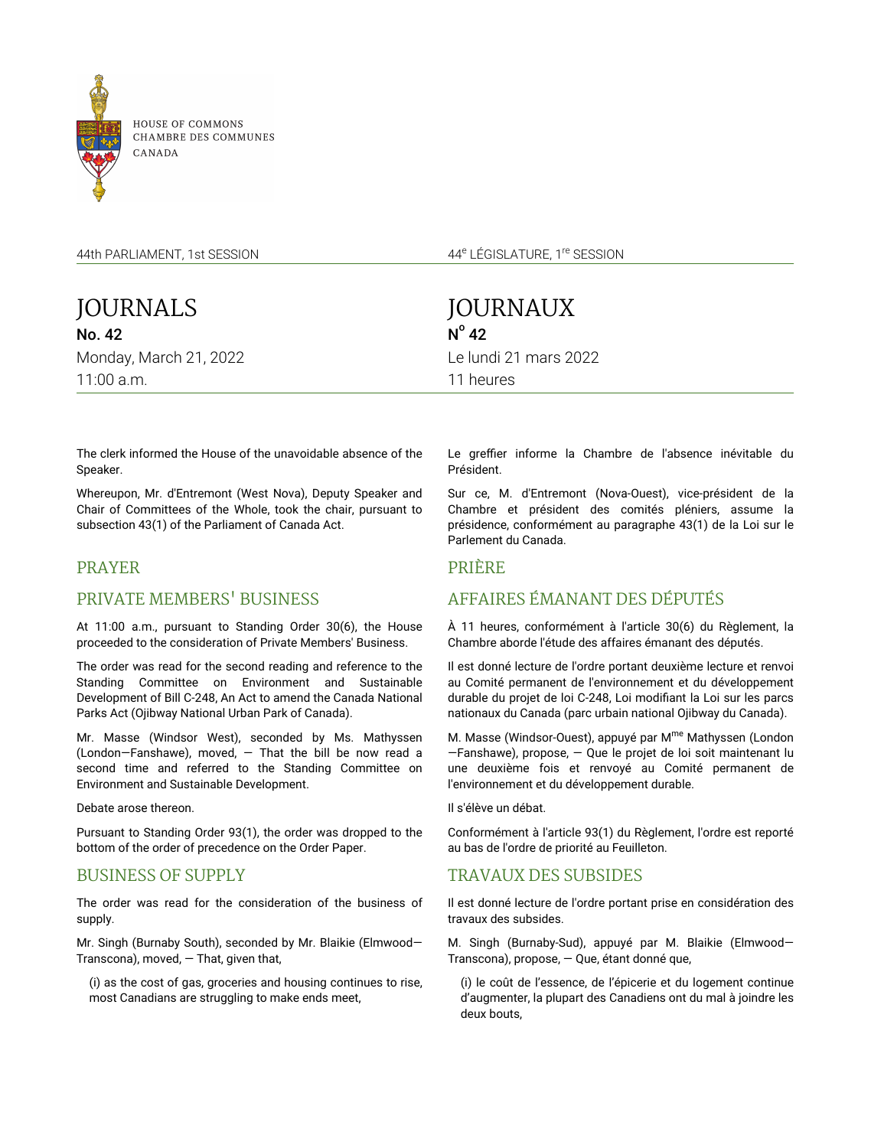

CHAMBRE DES COMMUNES

44th PARLIAMENT, 1st SESSION

44<sup>e</sup> LÉGISLATURE, 1<sup>re</sup> SESSION

| JOURNALS               |  |  |  |  |  |
|------------------------|--|--|--|--|--|
| <b>No. 42</b>          |  |  |  |  |  |
| Monday, March 21, 2022 |  |  |  |  |  |
| $11:00$ a.m.           |  |  |  |  |  |

JOURNAUX  $N^{\circ}$  42 Le lundi 21 mars 2022 11 heures

The clerk informed the House of the unavoidable absence of the Speaker.

Whereupon, Mr. d'Entremont (West Nova), Deputy Speaker and Chair of Committees of the Whole, took the chair, pursuant to subsection 43(1) of the Parliament of Canada Act.

## PRAYER

## PRIVATE MEMBERS' BUSINESS

At 11:00 a.m., pursuant to Standing Order 30(6), the House proceeded to the consideration of Private Members' Business.

The order was read for the second reading and reference to the Standing Committee on Environment and Sustainable Development of Bill C-248, An Act to amend the Canada National Parks Act (Ojibway National Urban Park of Canada).

Mr. Masse (Windsor West), seconded by Ms. Mathyssen (London—Fanshawe), moved, — That the bill be now read a second time and referred to the Standing Committee on Environment and Sustainable Development.

Debate arose thereon.

Pursuant to Standing Order 93(1), the order was dropped to the bottom of the order of precedence on the Order Paper.

## BUSINESS OF SUPPLY

The order was read for the consideration of the business of supply.

Mr. Singh (Burnaby South), seconded by Mr. Blaikie (Elmwood— Transcona), moved,  $-$  That, given that,

(i) as the cost of gas, groceries and housing continues to rise, most Canadians are struggling to make ends meet,

Le greffier informe la Chambre de l'absence inévitable du Président.

Sur ce, M. d'Entremont (Nova-Ouest), vice-président de la Chambre et président des comités pléniers, assume la présidence, conformément au paragraphe 43(1) de la Loi sur le Parlement du Canada.

## PRIÈRE

# AFFAIRES ÉMANANT DES DÉPUTÉS

À 11 heures, conformément à l'article 30(6) du Règlement, la Chambre aborde l'étude des affaires émanant des députés.

Il est donné lecture de l'ordre portant deuxième lecture et renvoi au Comité permanent de l'environnement et du développement durable du projet de loi C-248, Loi modifiant la Loi sur les parcs nationaux du Canada (parc urbain national Ojibway du Canada).

M. Masse (Windsor-Ouest), appuyé par M<sup>me</sup> Mathyssen (London —Fanshawe), propose, — Que le projet de loi soit maintenant lu une deuxième fois et renvoyé au Comité permanent de l'environnement et du développement durable.

Il s'élève un débat.

Conformément à l'article 93(1) du Règlement, l'ordre est reporté au bas de l'ordre de priorité au Feuilleton.

# TRAVAUX DES SUBSIDES

Il est donné lecture de l'ordre portant prise en considération des travaux des subsides.

M. Singh (Burnaby-Sud), appuyé par M. Blaikie (Elmwood— Transcona), propose, — Que, étant donné que,

(i) le coût de l'essence, de l'épicerie et du logement continue d'augmenter, la plupart des Canadiens ont du mal à joindre les deux bouts,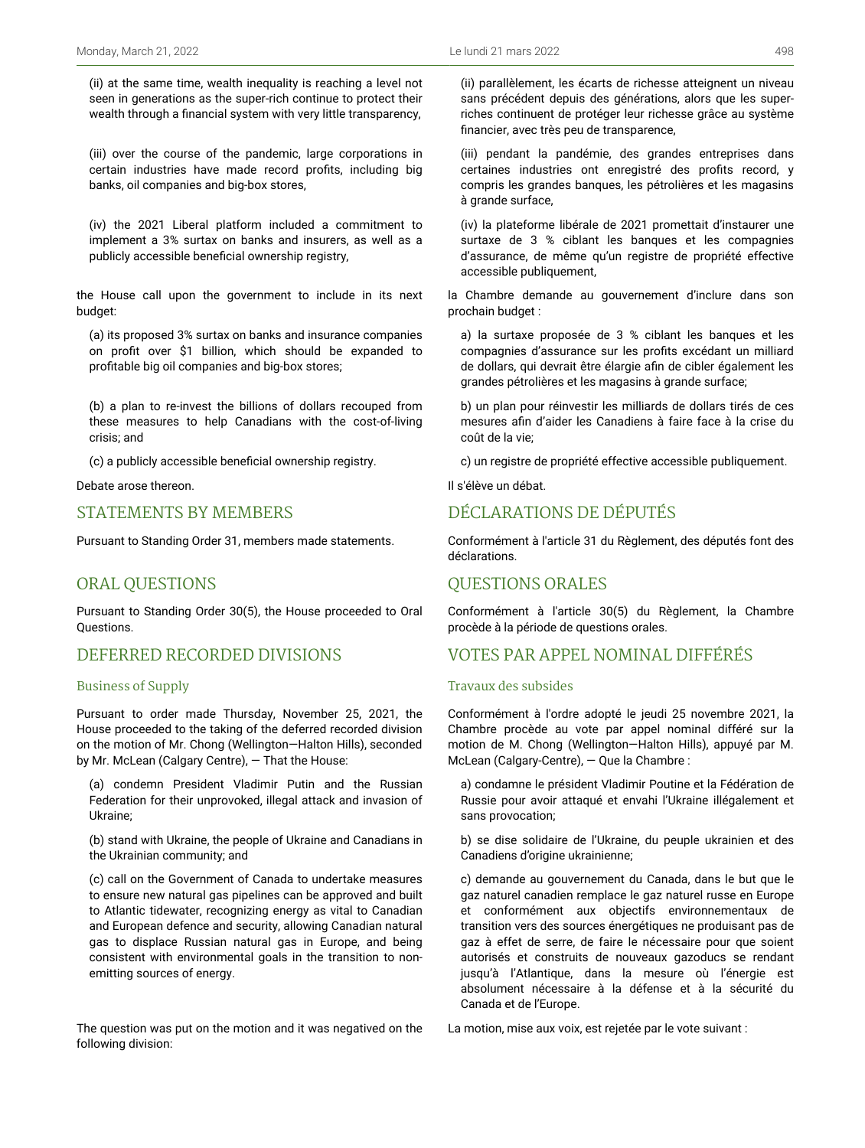(ii) at the same time, wealth inequality is reaching a level not seen in generations as the super-rich continue to protect their wealth through a financial system with very little transparency,

(iii) over the course of the pandemic, large corporations in certain industries have made record profits, including big banks, oil companies and big-box stores,

(iv) the 2021 Liberal platform included a commitment to implement a 3% surtax on banks and insurers, as well as a publicly accessible beneficial ownership registry,

the House call upon the government to include in its next budget:

(a) its proposed 3% surtax on banks and insurance companies on profit over \$1 billion, which should be expanded to profitable big oil companies and big-box stores;

(b) a plan to re-invest the billions of dollars recouped from these measures to help Canadians with the cost-of-living crisis; and

(c) a publicly accessible beneficial ownership registry.

Debate arose thereon.

### STATEMENTS BY MEMBERS

Pursuant to Standing Order 31, members made statements.

## ORAL QUESTIONS

Pursuant to Standing Order 30(5), the House proceeded to Oral Questions.

## DEFERRED RECORDED DIVISIONS

### Business of Supply

Pursuant to order made Thursday, November 25, 2021, the House proceeded to the taking of the deferred recorded division on the motion of Mr. Chong (Wellington—Halton Hills), seconded by Mr. McLean (Calgary Centre), — That the House:

(a) condemn President Vladimir Putin and the Russian Federation for their unprovoked, illegal attack and invasion of Ukraine;

(b) stand with Ukraine, the people of Ukraine and Canadians in the Ukrainian community; and

(c) call on the Government of Canada to undertake measures to ensure new natural gas pipelines can be approved and built to Atlantic tidewater, recognizing energy as vital to Canadian and European defence and security, allowing Canadian natural gas to displace Russian natural gas in Europe, and being consistent with environmental goals in the transition to nonemitting sources of energy.

The question was put on the motion and it was negatived on the following division:

(ii) parallèlement, les écarts de richesse atteignent un niveau sans précédent depuis des générations, alors que les superriches continuent de protéger leur richesse grâce au système financier, avec très peu de transparence,

(iii) pendant la pandémie, des grandes entreprises dans certaines industries ont enregistré des profits record, y compris les grandes banques, les pétrolières et les magasins à grande surface,

(iv) la plateforme libérale de 2021 promettait d'instaurer une surtaxe de 3 % ciblant les banques et les compagnies d'assurance, de même qu'un registre de propriété effective accessible publiquement,

la Chambre demande au gouvernement d'inclure dans son prochain budget :

a) la surtaxe proposée de 3 % ciblant les banques et les compagnies d'assurance sur les profits excédant un milliard de dollars, qui devrait être élargie afin de cibler également les grandes pétrolières et les magasins à grande surface;

b) un plan pour réinvestir les milliards de dollars tirés de ces mesures afin d'aider les Canadiens à faire face à la crise du coût de la vie;

c) un registre de propriété effective accessible publiquement.

Il s'élève un débat.

## DÉCLARATIONS DE DÉPUTÉS

Conformément à l'article 31 du Règlement, des députés font des déclarations.

## QUESTIONS ORALES

Conformément à l'article 30(5) du Règlement, la Chambre procède à la période de questions orales.

## VOTES PAR APPEL NOMINAL DIFFÉRÉS

### Travaux des subsides

Conformément à l'ordre adopté le jeudi 25 novembre 2021, la Chambre procède au vote par appel nominal différé sur la motion de M. Chong (Wellington—Halton Hills), appuyé par M. McLean (Calgary-Centre), — Que la Chambre :

a) condamne le président Vladimir Poutine et la Fédération de Russie pour avoir attaqué et envahi l'Ukraine illégalement et sans provocation;

b) se dise solidaire de l'Ukraine, du peuple ukrainien et des Canadiens d'origine ukrainienne;

c) demande au gouvernement du Canada, dans le but que le gaz naturel canadien remplace le gaz naturel russe en Europe et conformément aux objectifs environnementaux de transition vers des sources énergétiques ne produisant pas de gaz à effet de serre, de faire le nécessaire pour que soient autorisés et construits de nouveaux gazoducs se rendant jusqu'à l'Atlantique, dans la mesure où l'énergie est absolument nécessaire à la défense et à la sécurité du Canada et de l'Europe.

La motion, mise aux voix, est rejetée par le vote suivant :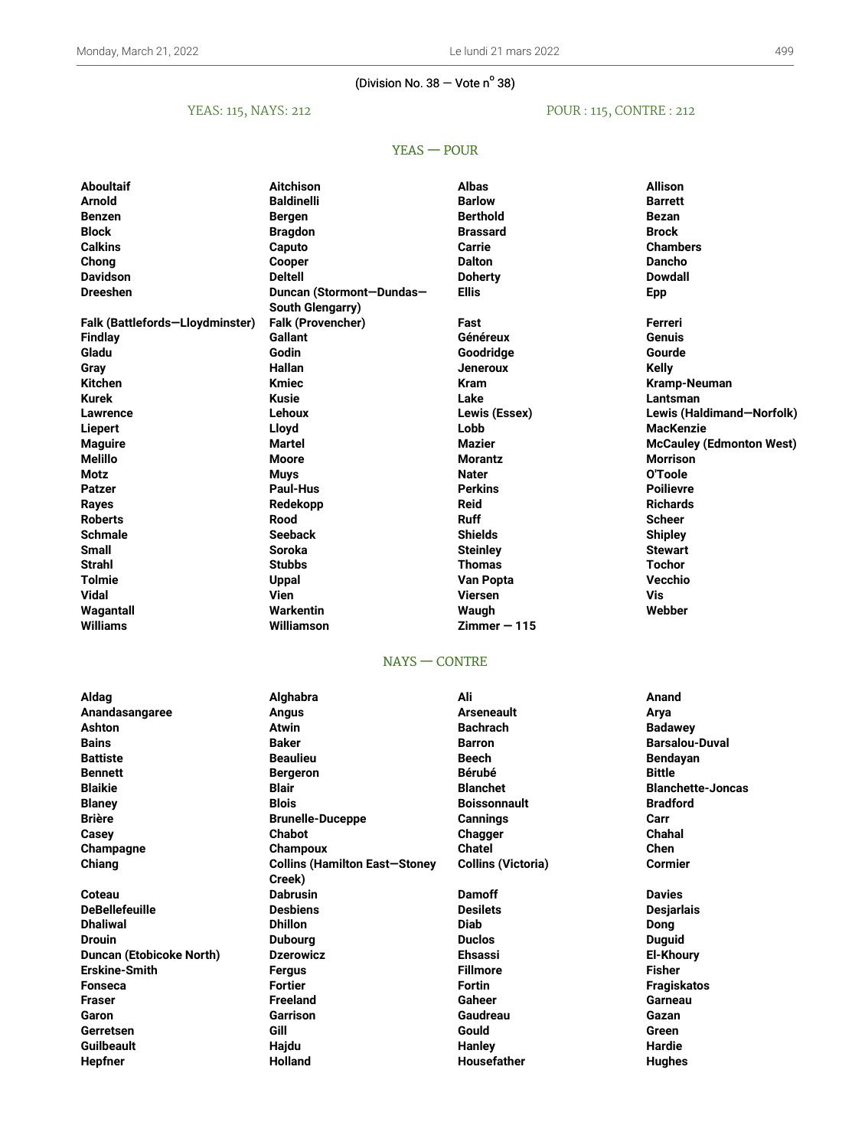### (Division No.  $38 -$  Vote n<sup>o</sup> 38)

## YEAS: 115, NAYS: 212

## POUR : 115, CONTRE : 212

## YEAS — POUR

| Aboultaif                       | Aitchison                                        | <b>Albas</b>              | <b>Allison</b>                  |
|---------------------------------|--------------------------------------------------|---------------------------|---------------------------------|
| Arnold                          | <b>Baldinelli</b>                                | <b>Barlow</b>             | <b>Barrett</b>                  |
| <b>Benzen</b>                   | <b>Bergen</b>                                    | <b>Berthold</b>           | <b>Bezan</b>                    |
| Block                           | <b>Bragdon</b>                                   | <b>Brassard</b>           | <b>Brock</b>                    |
| <b>Calkins</b>                  | Caputo                                           | Carrie                    | <b>Chambers</b>                 |
| Chong                           | Cooper                                           | <b>Dalton</b>             | <b>Dancho</b>                   |
| <b>Davidson</b>                 | <b>Deltell</b>                                   | <b>Doherty</b>            | <b>Dowdall</b>                  |
| <b>Dreeshen</b>                 | Duncan (Stormont-Dundas-                         | <b>Ellis</b>              | <b>Epp</b>                      |
|                                 | <b>South Glengarry)</b>                          |                           |                                 |
| Falk (Battlefords-Lloydminster) | Falk (Provencher)                                | Fast                      | Ferreri                         |
| <b>Findlay</b>                  | <b>Gallant</b>                                   | Généreux                  | <b>Genuis</b>                   |
| Gladu                           | Godin                                            | Goodridge                 | Gourde                          |
| Gray                            | Hallan                                           | <b>Jeneroux</b>           | <b>Kelly</b>                    |
| <b>Kitchen</b>                  | <b>Kmiec</b>                                     | <b>Kram</b>               | Kramp-Neuman                    |
| Kurek                           | Kusie                                            | Lake                      | Lantsman                        |
| Lawrence                        | Lehoux                                           | Lewis (Essex)             | Lewis (Haldimand-Norfolk)       |
| Liepert                         | Lloyd                                            | Lobb                      | <b>MacKenzie</b>                |
| <b>Maguire</b>                  | Martel                                           | Mazier                    | <b>McCauley (Edmonton West)</b> |
| Melillo                         | <b>Moore</b>                                     | <b>Morantz</b>            | <b>Morrison</b>                 |
| Motz                            | <b>Muys</b>                                      | <b>Nater</b>              | O'Toole                         |
| Patzer                          | <b>Paul-Hus</b>                                  | <b>Perkins</b>            | <b>Poilievre</b>                |
| Rayes                           | Redekopp                                         | <b>Reid</b>               | <b>Richards</b>                 |
| Roberts                         | Rood                                             | <b>Ruff</b>               | <b>Scheer</b>                   |
| Schmale                         | <b>Seeback</b>                                   | <b>Shields</b>            | <b>Shipley</b>                  |
| <b>Small</b>                    | <b>Soroka</b>                                    | <b>Steinley</b>           | <b>Stewart</b>                  |
| Strahl                          | <b>Stubbs</b>                                    | Thomas                    | Tochor                          |
| Tolmie                          | <b>Uppal</b>                                     | Van Popta                 | Vecchio                         |
| Vidal                           | Vien                                             | <b>Viersen</b>            | <b>Vis</b>                      |
| Wagantall                       | Warkentin                                        | Waugh                     | Webber                          |
| <b>Williams</b>                 | Williamson                                       | $Zimmer - 115$            |                                 |
|                                 |                                                  |                           |                                 |
|                                 | $NAYS - CONTRE$                                  |                           |                                 |
| Aldag                           | Alghabra                                         | Ali                       | Anand                           |
| Anandasangaree                  | <b>Angus</b>                                     | <b>Arseneault</b>         | Arya                            |
| Ashton                          | Atwin                                            | <b>Bachrach</b>           | <b>Badawey</b>                  |
| Bains                           | <b>Baker</b>                                     | Barron                    | <b>Barsalou-Duval</b>           |
| <b>Battiste</b>                 | <b>Beaulieu</b>                                  | <b>Beech</b>              | <b>Bendayan</b>                 |
| Bennett                         | <b>Bergeron</b>                                  | <b>Bérubé</b>             | <b>Bittle</b>                   |
| <b>Blaikie</b>                  | <b>Blair</b>                                     | <b>Blanchet</b>           | <b>Blanchette-Joncas</b>        |
|                                 | <b>Blois</b>                                     | <b>Boissonnault</b>       | <b>Bradford</b>                 |
| <b>Blaney</b><br><b>Brière</b>  |                                                  | <b>Cannings</b>           | Carr                            |
| Casey                           | <b>Brunelle-Duceppe</b><br><b>Chabot</b>         | Chagger                   | Chahal                          |
|                                 |                                                  | <b>Chatel</b>             | <b>Chen</b>                     |
| Champagne<br>Chiang             | Champoux<br><b>Collins (Hamilton East-Stoney</b> |                           | <b>Cormier</b>                  |
|                                 | Creek)                                           | <b>Collins (Victoria)</b> |                                 |
| Coteau                          | <b>Dabrusin</b>                                  | <b>Damoff</b>             | <b>Davies</b>                   |
| <b>DeBellefeuille</b>           | <b>Desbiens</b>                                  | <b>Desilets</b>           |                                 |
| <b>Dhaliwal</b>                 |                                                  | <b>Diab</b>               | <b>Desjarlais</b>               |
| <b>Drouin</b>                   | <b>Dhillon</b>                                   | <b>Duclos</b>             | <b>Dong</b>                     |
|                                 | <b>Dubourg</b>                                   | <b>Ehsassi</b>            | <b>Duguid</b>                   |
| <b>Duncan (Etobicoke North)</b> | <b>Dzerowicz</b>                                 |                           | <b>El-Khoury</b>                |
| <b>Erskine-Smith</b>            | Fergus                                           | <b>Fillmore</b>           | <b>Fisher</b>                   |
| <b>Fonseca</b>                  | <b>Fortier</b>                                   | <b>Fortin</b>             | <b>Fragiskatos</b>              |
| Fraser                          | <b>Freeland</b>                                  | <b>Gaheer</b>             | Garneau                         |
| Garon                           |                                                  |                           |                                 |
|                                 | <b>Garrison</b>                                  | Gaudreau                  | Gazan                           |
| Gerretsen<br><b>Guilbeault</b>  | Gill<br>Hajdu                                    | Gould<br>Hanley           | Green<br>Hardie                 |

**Hepfner Holland Housefather Hughes**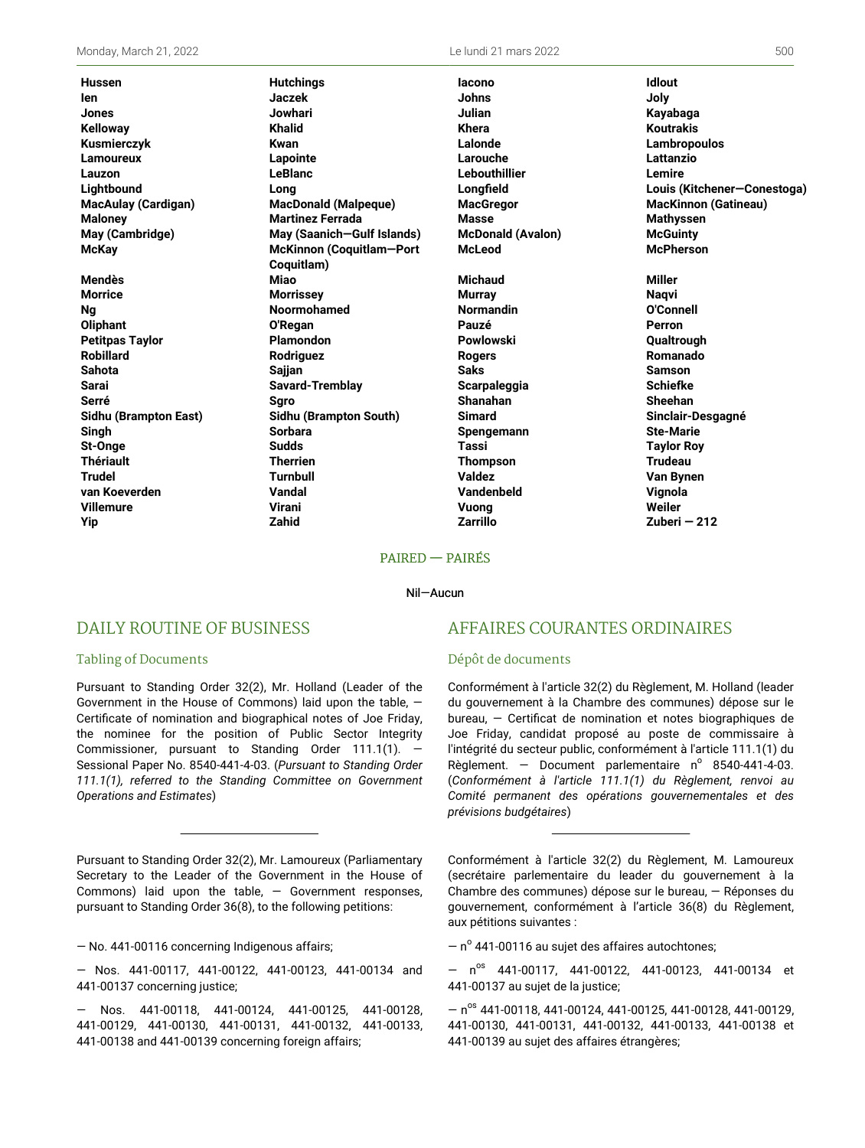**Yip Zahid Zarrillo Zuberi — 212**

**Hussen Hutchings Iacono Idlout Ien Jaczek Johns Joly Jones Jowhari Julian Kayabaga Kelloway Khalid Khera Koutrakis Kusmierczyk Kwan Lalonde Lambropoulos Lamoureux Lapointe Larouche Lattanzio Lauzon LeBlanc Lebouthillier Lemire Lightbound Long Longfield Louis (Kitchener—Conestoga) MacAulay (Cardigan) MacDonald (Malpeque) MacGregor MacKinnon (Gatineau) Maloney Martinez Ferrada Masse Mathyssen May (Cambridge) May (Saanich—Gulf Islands) McDonald (Avalon) McGuinty McKay McKinnon (Coquitlam—Port Coquitlam) Mendès Miao Michaud Miller Morrice Morrissey Murray Naqvi Ng Noormohamed Normandin O'Connell Oliphant O'Regan Pauzé Perron Petitpas Taylor Plamondon Powlowski Qualtrough Robillard Rodriguez Rogers Romanado Sahota Sajjan Saks Samson Sarai Savard-Tremblay Scarpaleggia Schiefke Serré Sgro Shanahan Sheehan Sidhu (Brampton East) Sidhu (Brampton South) Simard Sinclair-Desgagné Singh Sorbara Spengemann Ste-Marie St-Onge Sudds Tassi Taylor Roy Thériault Therrien Thompson Trudeau Trudel Turnbull Valdez Van Bynen van Koeverden Vandal Vandenbeld Vignola Villemure Virani Vuong Weiler**

**McLeod McPherson**

### PAIRED — PAIRÉS

#### Nil—Aucun

### DAILY ROUTINE OF BUSINESS

#### Tabling of Documents

Pursuant to Standing Order 32(2), Mr. Holland (Leader of the Government in the House of Commons) laid upon the table, — Certificate of nomination and biographical notes of Joe Friday, the nominee for the position of Public Sector Integrity Commissioner, pursuant to Standing Order 111.1(1). Sessional Paper No. 8540-441-4-03. (*Pursuant to Standing Order 111.1(1), referred to the Standing Committee on Government Operations and Estimates*)

Pursuant to Standing Order 32(2), Mr. Lamoureux (Parliamentary Secretary to the Leader of the Government in the House of Commons) laid upon the table,  $-$  Government responses, pursuant to Standing Order 36(8), to the following petitions:

— No. 441-00116 concerning Indigenous affairs;

— Nos. 441-00117, 441-00122, 441-00123, 441-00134 and 441-00137 concerning justice;

— Nos. 441-00118, 441-00124, 441-00125, 441-00128, 441-00129, 441-00130, 441-00131, 441-00132, 441-00133, 441-00138 and 441-00139 concerning foreign affairs;

### AFFAIRES COURANTES ORDINAIRES

#### Dépôt de documents

Conformément à l'article 32(2) du Règlement, M. Holland (leader du gouvernement à la Chambre des communes) dépose sur le bureau, — Certificat de nomination et notes biographiques de Joe Friday, candidat proposé au poste de commissaire à l'intégrité du secteur public, conformément à l'article 111.1(1) du Règlement. – Document parlementaire  $n^{\circ}$  8540-441-4-03. (*Conformément à l'article 111.1(1) du Règlement, renvoi au Comité permanent des opérations gouvernementales et des prévisions budgétaires*)

Conformément à l'article 32(2) du Règlement, M. Lamoureux (secrétaire parlementaire du leader du gouvernement à la Chambre des communes) dépose sur le bureau, — Réponses du gouvernement, conformément à l'article 36(8) du Règlement, aux pétitions suivantes :

 $-$  n $\textdegree$  441-00116 au sujet des affaires autochtones;

 $-$  n<sup>os</sup> 441-00117, 441-00122, 441-00123, 441-00134 et 441-00137 au sujet de la justice;

 $-$  n<sup>os</sup> 441-00118, 441-00124, 441-00125, 441-00128, 441-00129, 441-00130, 441-00131, 441-00132, 441-00133, 441-00138 et 441-00139 au sujet des affaires étrangères;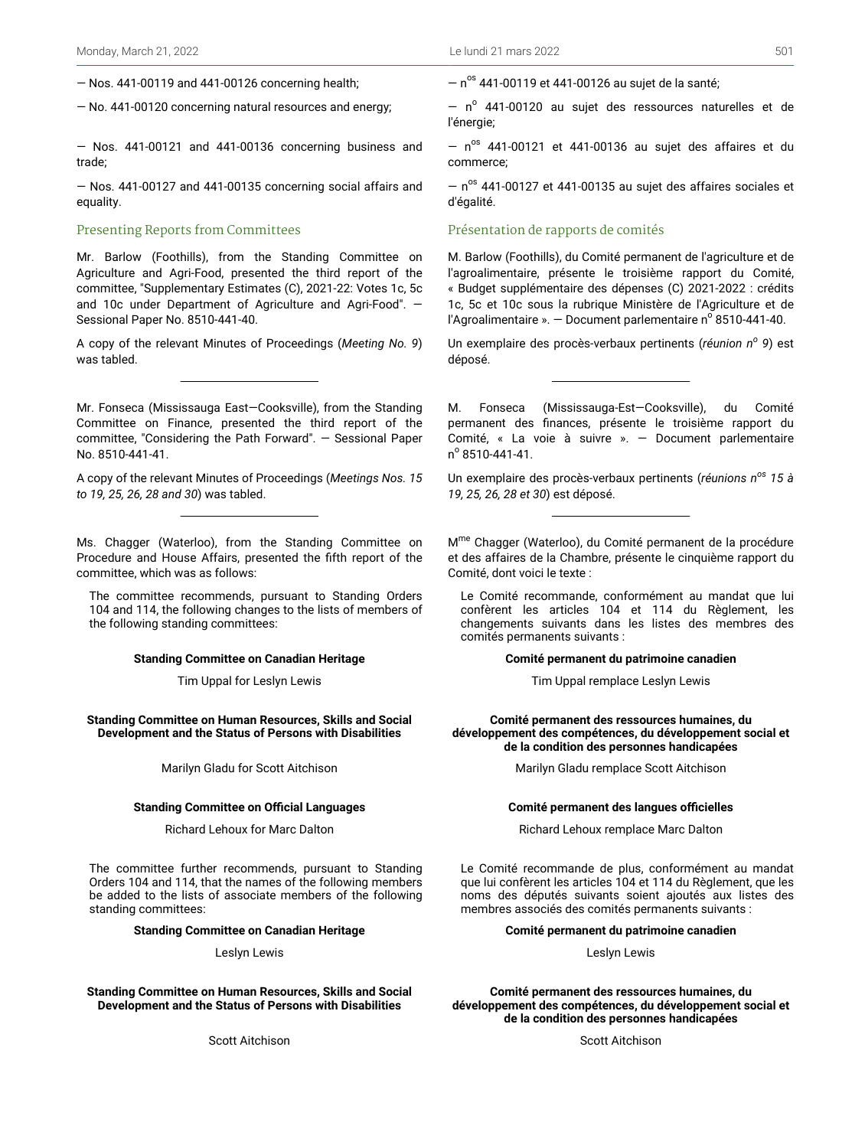— Nos. 441-00119 and 441-00126 concerning health;

— No. 441-00120 concerning natural resources and energy;

— Nos. 441-00121 and 441-00136 concerning business and trade;

— Nos. 441-00127 and 441-00135 concerning social affairs and equality.

### Presenting Reports from Committees

Mr. Barlow (Foothills), from the Standing Committee on Agriculture and Agri-Food, presented the third report of the committee, "Supplementary Estimates (C), 2021-22: Votes 1c, 5c and 10c under Department of Agriculture and Agri-Food". — Sessional Paper No. 8510-441-40.

A copy of the relevant Minutes of Proceedings (*Meeting No. 9*) was tabled.

Mr. Fonseca (Mississauga East—Cooksville), from the Standing Committee on Finance, presented the third report of the committee, "Considering the Path Forward". — Sessional Paper No. 8510-441-41.

A copy of the relevant Minutes of Proceedings (*Meetings Nos. 15 to 19, 25, 26, 28 and 30*) was tabled.

Ms. Chagger (Waterloo), from the Standing Committee on Procedure and House Affairs, presented the fifth report of the committee, which was as follows:

The committee recommends, pursuant to Standing Orders 104 and 114, the following changes to the lists of members of the following standing committees:

#### **Standing Committee on Canadian Heritage**

Tim Uppal for Leslyn Lewis

**Standing Committee on Human Resources, Skills and Social Development and the Status of Persons with Disabilities**

Marilyn Gladu for Scott Aitchison

#### **Standing Committee on Official Languages**

Richard Lehoux for Marc Dalton

The committee further recommends, pursuant to Standing Orders 104 and 114, that the names of the following members be added to the lists of associate members of the following standing committees:

#### **Standing Committee on Canadian Heritage**

Leslyn Lewis

### **Standing Committee on Human Resources, Skills and Social Development and the Status of Persons with Disabilities**

Scott Aitchison

 $-$  n<sup>os</sup> 441-00119 et 441-00126 au sujet de la santé;

 $-$  n<sup>o</sup> 441-00120 au sujet des ressources naturelles et de l'énergie;

 $-$  n<sup>os</sup> 441-00121 et 441-00136 au sujet des affaires et du commerce;

 $-$  n<sup>os</sup> 441-00127 et 441-00135 au sujet des affaires sociales et d'égalité.

### Présentation de rapports de comités

M. Barlow (Foothills), du Comité permanent de l'agriculture et de l'agroalimentaire, présente le troisième rapport du Comité, « Budget supplémentaire des dépenses (C) 2021-2022 : crédits 1c, 5c et 10c sous la rubrique Ministère de l'Agriculture et de l'Agroalimentaire ».  $-$  Document parlementaire n° 8510-441-40.

Un exemplaire des procès-verbaux pertinents (*réunion n<sup>o</sup> 9*) est déposé.

M. Fonseca (Mississauga-Est—Cooksville), du Comité permanent des finances, présente le troisième rapport du Comité, « La voie à suivre ». — Document parlementaire n<sup>o</sup> 8510-441-41.

Un exemplaire des procès-verbaux pertinents (*réunions nos 15 à 19, 25, 26, 28 et 30*) est déposé.

M<sup>me</sup> Chagger (Waterloo), du Comité permanent de la procédure et des affaires de la Chambre, présente le cinquième rapport du Comité, dont voici le texte :

Le Comité recommande, conformément au mandat que lui confèrent les articles 104 et 114 du Règlement, les changements suivants dans les listes des membres des comités permanents suivants :

#### **Comité permanent du patrimoine canadien**

Tim Uppal remplace Leslyn Lewis

**Comité permanent des ressources humaines, du développement des compétences, du développement social et de la condition des personnes handicapées**

Marilyn Gladu remplace Scott Aitchison

#### **Comité permanent des langues officielles**

Richard Lehoux remplace Marc Dalton

Le Comité recommande de plus, conformément au mandat que lui confèrent les articles 104 et 114 du Règlement, que les noms des députés suivants soient ajoutés aux listes des membres associés des comités permanents suivants :

#### **Comité permanent du patrimoine canadien**

Leslyn Lewis

**Comité permanent des ressources humaines, du développement des compétences, du développement social et de la condition des personnes handicapées**

Scott Aitchison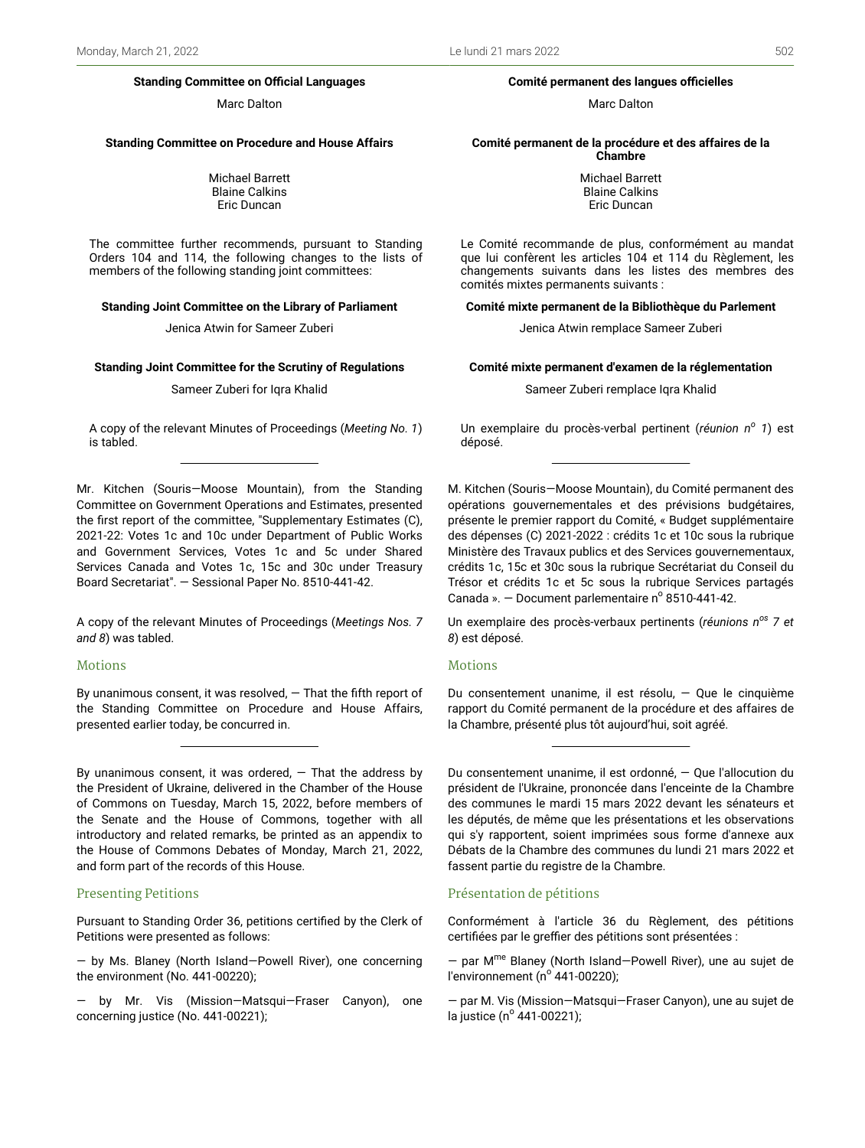#### **Standing Committee on Official Languages**

Marc Dalton

#### **Standing Committee on Procedure and House Affairs**

Michael Barrett Blaine Calkins Eric Duncan

The committee further recommends, pursuant to Standing Orders 104 and 114, the following changes to the lists of members of the following standing joint committees:

#### **Standing Joint Committee on the Library of Parliament**

Jenica Atwin for Sameer Zuberi

#### **Standing Joint Committee for the Scrutiny of Regulations**

Sameer Zuberi for Iqra Khalid

A copy of the relevant Minutes of Proceedings (*Meeting No. 1*) is tabled.

Mr. Kitchen (Souris—Moose Mountain), from the Standing Committee on Government Operations and Estimates, presented the first report of the committee, "Supplementary Estimates (C), 2021-22: Votes 1c and 10c under Department of Public Works and Government Services, Votes 1c and 5c under Shared Services Canada and Votes 1c, 15c and 30c under Treasury Board Secretariat". — Sessional Paper No. 8510-441-42.

A copy of the relevant Minutes of Proceedings (*Meetings Nos. 7 and 8*) was tabled.

### **Motions**

By unanimous consent, it was resolved,  $-$  That the fifth report of the Standing Committee on Procedure and House Affairs, presented earlier today, be concurred in.

By unanimous consent, it was ordered,  $-$  That the address by the President of Ukraine, delivered in the Chamber of the House of Commons on Tuesday, March 15, 2022, before members of the Senate and the House of Commons, together with all introductory and related remarks, be printed as an appendix to the House of Commons Debates of Monday, March 21, 2022, and form part of the records of this House.

#### Presenting Petitions

Pursuant to Standing Order 36, petitions certified by the Clerk of Petitions were presented as follows:

— by Ms. Blaney (North Island—Powell River), one concerning the environment (No. 441-00220);

— by Mr. Vis (Mission—Matsqui—Fraser Canyon), one concerning justice (No. 441-00221);

### **Comité permanent des langues officielles**

Marc Dalton

#### **Comité permanent de la procédure et des affaires de la Chambre**

Michael Barrett Blaine Calkins Eric Duncan

Le Comité recommande de plus, conformément au mandat que lui confèrent les articles 104 et 114 du Règlement, les changements suivants dans les listes des membres des comités mixtes permanents suivants :

#### **Comité mixte permanent de la Bibliothèque du Parlement**

Jenica Atwin remplace Sameer Zuberi

#### **Comité mixte permanent d'examen de la réglementation**

Sameer Zuberi remplace Iqra Khalid

Un exemplaire du procès-verbal pertinent (*réunion n<sup>o</sup> 1*) est déposé.

M. Kitchen (Souris—Moose Mountain), du Comité permanent des opérations gouvernementales et des prévisions budgétaires, présente le premier rapport du Comité, « Budget supplémentaire des dépenses (C) 2021-2022 : crédits 1c et 10c sous la rubrique Ministère des Travaux publics et des Services gouvernementaux, crédits 1c, 15c et 30c sous la rubrique Secrétariat du Conseil du Trésor et crédits 1c et 5c sous la rubrique Services partagés Canada ».  $-$  Document parlementaire n° 8510-441-42.

Un exemplaire des procès-verbaux pertinents (*réunions nos 7 et 8*) est déposé.

### **Motions**

Du consentement unanime, il est résolu, — Que le cinquième rapport du Comité permanent de la procédure et des affaires de la Chambre, présenté plus tôt aujourd'hui, soit agréé.

Du consentement unanime, il est ordonné, — Que l'allocution du président de l'Ukraine, prononcée dans l'enceinte de la Chambre des communes le mardi 15 mars 2022 devant les sénateurs et les députés, de même que les présentations et les observations qui s'y rapportent, soient imprimées sous forme d'annexe aux Débats de la Chambre des communes du lundi 21 mars 2022 et fassent partie du registre de la Chambre.

#### Présentation de pétitions

Conformément à l'article 36 du Règlement, des pétitions certifiées par le greffier des pétitions sont présentées :

— par M me Blaney (North Island—Powell River), une au sujet de l'environnement (n<sup>º</sup> 441-00220);

— par M. Vis (Mission—Matsqui—Fraser Canyon), une au sujet de la justice (nº 441-00221);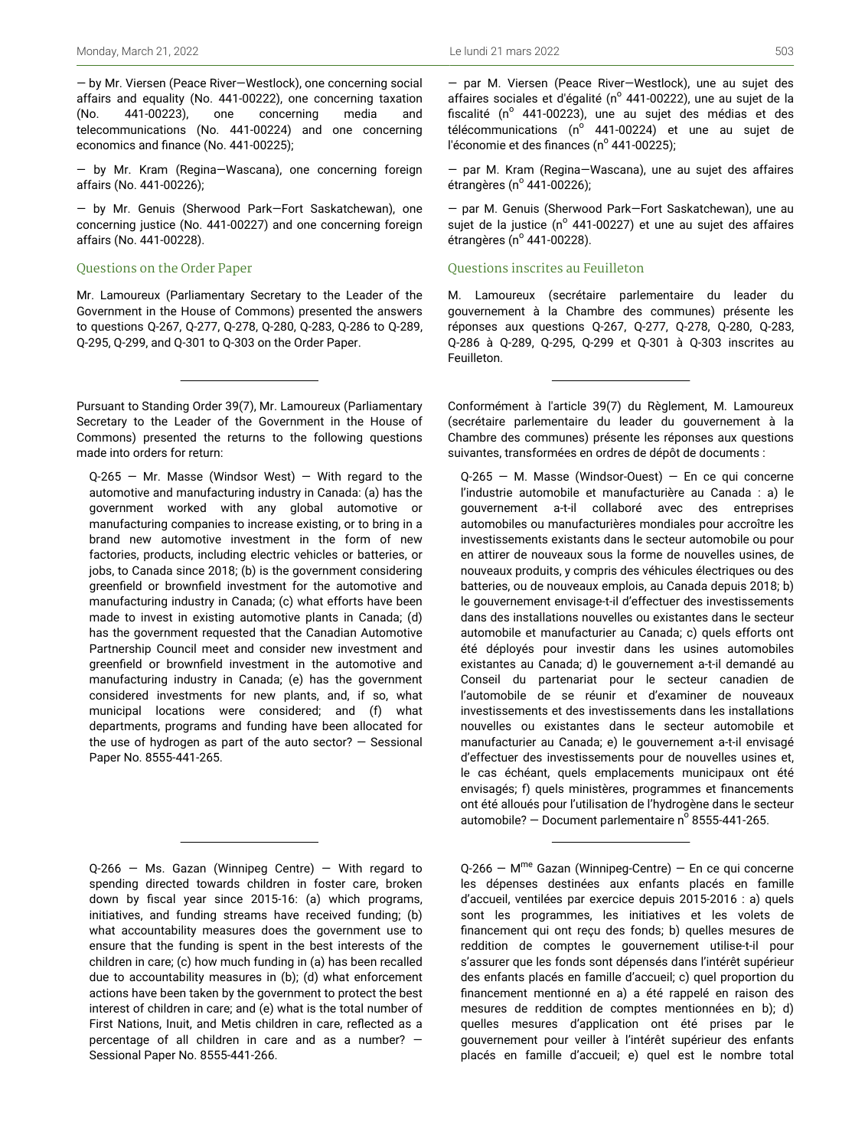— by Mr. Viersen (Peace River—Westlock), one concerning social affairs and equality (No. 441-00222), one concerning taxation (No. 441-00223), one concerning media and telecommunications (No. 441-00224) and one concerning economics and finance (No. 441-00225);

— by Mr. Kram (Regina—Wascana), one concerning foreign affairs (No. 441-00226);

— by Mr. Genuis (Sherwood Park—Fort Saskatchewan), one concerning justice (No. 441-00227) and one concerning foreign affairs (No. 441-00228).

### Questions on the Order Paper

Mr. Lamoureux (Parliamentary Secretary to the Leader of the Government in the House of Commons) presented the answers to questions Q-267, Q-277, Q-278, Q-280, Q-283, Q-286 to Q-289, Q-295, Q-299, and Q-301 to Q-303 on the Order Paper.

Pursuant to Standing Order 39(7), Mr. Lamoureux (Parliamentary Secretary to the Leader of the Government in the House of Commons) presented the returns to the following questions made into orders for return:

 $Q-265$  – Mr. Masse (Windsor West) – With regard to the automotive and manufacturing industry in Canada: (a) has the government worked with any global automotive or manufacturing companies to increase existing, or to bring in a brand new automotive investment in the form of new factories, products, including electric vehicles or batteries, or jobs, to Canada since 2018; (b) is the government considering greenfield or brownfield investment for the automotive and manufacturing industry in Canada; (c) what efforts have been made to invest in existing automotive plants in Canada; (d) has the government requested that the Canadian Automotive Partnership Council meet and consider new investment and greenfield or brownfield investment in the automotive and manufacturing industry in Canada; (e) has the government considered investments for new plants, and, if so, what municipal locations were considered; and (f) what departments, programs and funding have been allocated for the use of hydrogen as part of the auto sector?  $-$  Sessional Paper No. 8555-441-265.

 $Q-266$  – Ms. Gazan (Winnipeg Centre) – With regard to spending directed towards children in foster care, broken down by fiscal year since 2015-16: (a) which programs, initiatives, and funding streams have received funding; (b) what accountability measures does the government use to ensure that the funding is spent in the best interests of the children in care; (c) how much funding in (a) has been recalled due to accountability measures in (b); (d) what enforcement actions have been taken by the government to protect the best interest of children in care; and (e) what is the total number of First Nations, Inuit, and Metis children in care, reflected as a percentage of all children in care and as a number? — Sessional Paper No. 8555-441-266.

— par M. Viersen (Peace River—Westlock), une au sujet des affaires sociales et d'égalité (nº 441-00222), une au sujet de la fiscalité (n<sup>o</sup> 441-00223), une au sujet des médias et des télécommunications (n<sup>o</sup> 441-00224) et une au sujet de l'économie et des finances (n<sup>º</sup> 441-00225);

— par M. Kram (Regina—Wascana), une au sujet des affaires étrangères (nº 441-00226);

— par M. Genuis (Sherwood Park—Fort Saskatchewan), une au sujet de la justice (nº 441-00227) et une au sujet des affaires étrangères (nº 441-00228).

### Questions inscrites au Feuilleton

M. Lamoureux (secrétaire parlementaire du leader du gouvernement à la Chambre des communes) présente les réponses aux questions Q-267, Q-277, Q-278, Q-280, Q-283, Q-286 à Q-289, Q-295, Q-299 et Q-301 à Q-303 inscrites au Feuilleton.

Conformément à l'article 39(7) du Règlement, M. Lamoureux (secrétaire parlementaire du leader du gouvernement à la Chambre des communes) présente les réponses aux questions suivantes, transformées en ordres de dépôt de documents :

Q-265 — M. Masse (Windsor-Ouest) — En ce qui concerne l'industrie automobile et manufacturière au Canada : a) le gouvernement a-t-il collaboré avec des entreprises automobiles ou manufacturières mondiales pour accroître les investissements existants dans le secteur automobile ou pour en attirer de nouveaux sous la forme de nouvelles usines, de nouveaux produits, y compris des véhicules électriques ou des batteries, ou de nouveaux emplois, au Canada depuis 2018; b) le gouvernement envisage-t-il d'effectuer des investissements dans des installations nouvelles ou existantes dans le secteur automobile et manufacturier au Canada; c) quels efforts ont été déployés pour investir dans les usines automobiles existantes au Canada; d) le gouvernement a-t-il demandé au Conseil du partenariat pour le secteur canadien de l'automobile de se réunir et d'examiner de nouveaux investissements et des investissements dans les installations nouvelles ou existantes dans le secteur automobile et manufacturier au Canada; e) le gouvernement a-t-il envisagé d'effectuer des investissements pour de nouvelles usines et, le cas échéant, quels emplacements municipaux ont été envisagés; f) quels ministères, programmes et financements ont été alloués pour l'utilisation de l'hydrogène dans le secteur automobile?  $-$  Document parlementaire nº 8555-441-265.

Q-266 – M<sup>me</sup> Gazan (Winnipeg-Centre) – En ce qui concerne les dépenses destinées aux enfants placés en famille d'accueil, ventilées par exercice depuis 2015-2016 : a) quels sont les programmes, les initiatives et les volets de financement qui ont reçu des fonds; b) quelles mesures de reddition de comptes le gouvernement utilise-t-il pour s'assurer que les fonds sont dépensés dans l'intérêt supérieur des enfants placés en famille d'accueil; c) quel proportion du financement mentionné en a) a été rappelé en raison des mesures de reddition de comptes mentionnées en b); d) quelles mesures d'application ont été prises par le gouvernement pour veiller à l'intérêt supérieur des enfants placés en famille d'accueil; e) quel est le nombre total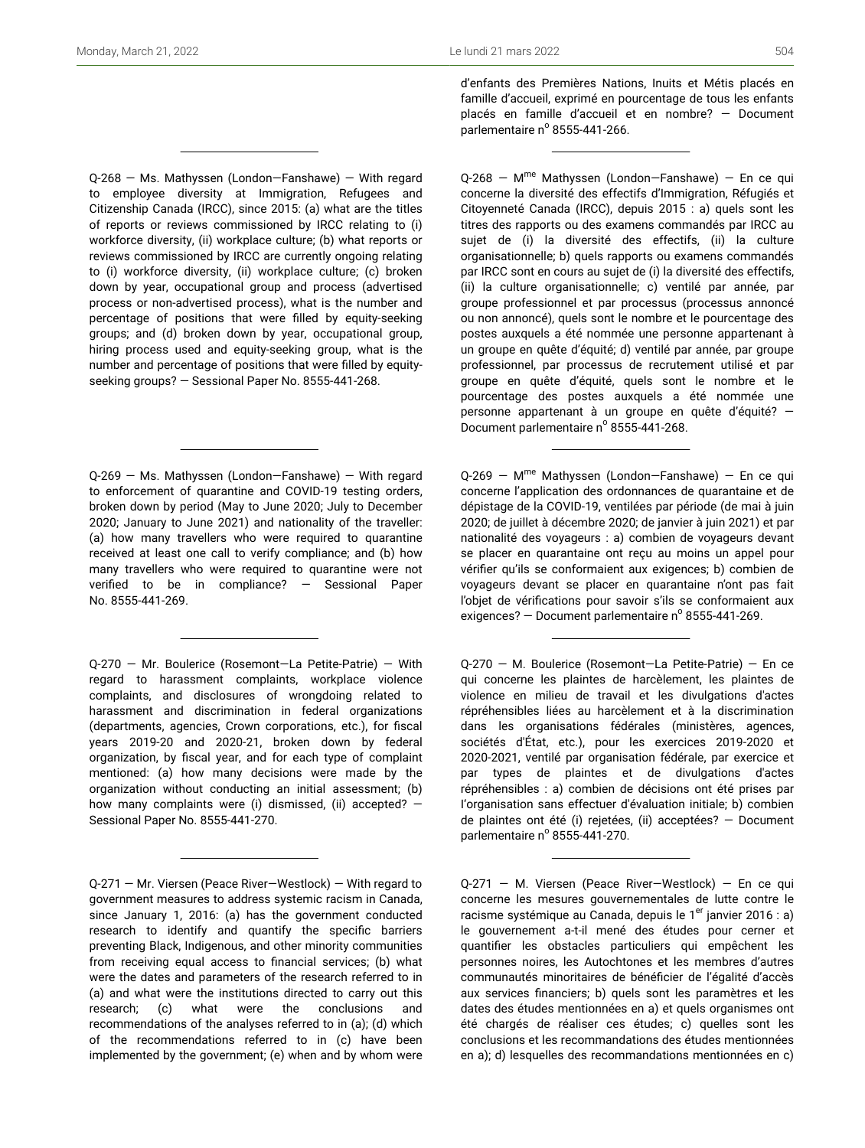Q-268 — Ms. Mathyssen (London—Fanshawe) — With regard to employee diversity at Immigration, Refugees and Citizenship Canada (IRCC), since 2015: (a) what are the titles of reports or reviews commissioned by IRCC relating to (i) workforce diversity, (ii) workplace culture; (b) what reports or reviews commissioned by IRCC are currently ongoing relating to (i) workforce diversity, (ii) workplace culture; (c) broken down by year, occupational group and process (advertised process or non-advertised process), what is the number and percentage of positions that were filled by equity-seeking groups; and (d) broken down by year, occupational group, hiring process used and equity-seeking group, what is the number and percentage of positions that were filled by equityseeking groups? — Sessional Paper No. 8555-441-268.

Q-269 — Ms. Mathyssen (London—Fanshawe) — With regard to enforcement of quarantine and COVID-19 testing orders, broken down by period (May to June 2020; July to December 2020; January to June 2021) and nationality of the traveller: (a) how many travellers who were required to quarantine received at least one call to verify compliance; and (b) how many travellers who were required to quarantine were not verified to be in compliance? — Sessional Paper No. 8555-441-269.

Q-270 — Mr. Boulerice (Rosemont—La Petite-Patrie) — With regard to harassment complaints, workplace violence complaints, and disclosures of wrongdoing related to harassment and discrimination in federal organizations (departments, agencies, Crown corporations, etc.), for fiscal years 2019-20 and 2020-21, broken down by federal organization, by fiscal year, and for each type of complaint mentioned: (a) how many decisions were made by the organization without conducting an initial assessment; (b) how many complaints were (i) dismissed, (ii) accepted?  $-$ Sessional Paper No. 8555-441-270.

Q-271 — Mr. Viersen (Peace River—Westlock) — With regard to government measures to address systemic racism in Canada, since January 1, 2016: (a) has the government conducted research to identify and quantify the specific barriers preventing Black, Indigenous, and other minority communities from receiving equal access to financial services; (b) what were the dates and parameters of the research referred to in (a) and what were the institutions directed to carry out this research; (c) what were the conclusions and recommendations of the analyses referred to in (a); (d) which of the recommendations referred to in (c) have been implemented by the government; (e) when and by whom were d'enfants des Premières Nations, Inuits et Métis placés en famille d'accueil, exprimé en pourcentage de tous les enfants placés en famille d'accueil et en nombre? — Document parlementaire nº 8555-441-266.

Q-268 – M<sup>me</sup> Mathyssen (London–Fanshawe) – En ce qui concerne la diversité des effectifs d'Immigration, Réfugiés et Citoyenneté Canada (IRCC), depuis 2015 : a) quels sont les titres des rapports ou des examens commandés par IRCC au sujet de (i) la diversité des effectifs, (ii) la culture organisationnelle; b) quels rapports ou examens commandés par IRCC sont en cours au sujet de (i) la diversité des effectifs, (ii) la culture organisationnelle; c) ventilé par année, par groupe professionnel et par processus (processus annoncé ou non annoncé), quels sont le nombre et le pourcentage des postes auxquels a été nommée une personne appartenant à un groupe en quête d'équité; d) ventilé par année, par groupe professionnel, par processus de recrutement utilisé et par groupe en quête d'équité, quels sont le nombre et le pourcentage des postes auxquels a été nommée une personne appartenant à un groupe en quête d'équité? — Document parlementaire nº 8555-441-268.

Q-269 – M<sup>me</sup> Mathyssen (London–Fanshawe) – En ce qui concerne l'application des ordonnances de quarantaine et de dépistage de la COVID-19, ventilées par période (de mai à juin 2020; de juillet à décembre 2020; de janvier à juin 2021) et par nationalité des voyageurs : a) combien de voyageurs devant se placer en quarantaine ont reçu au moins un appel pour vérifier qu'ils se conformaient aux exigences; b) combien de voyageurs devant se placer en quarantaine n'ont pas fait l'objet de vérifications pour savoir s'ils se conformaient aux exigences? – Document parlementaire nº 8555-441-269.

Q-270 — M. Boulerice (Rosemont—La Petite-Patrie) — En ce qui concerne les plaintes de harcèlement, les plaintes de violence en milieu de travail et les divulgations d'actes répréhensibles liées au harcèlement et à la discrimination dans les organisations fédérales (ministères, agences, sociétés d'État, etc.), pour les exercices 2019-2020 et 2020-2021, ventilé par organisation fédérale, par exercice et par types de plaintes et de divulgations d'actes répréhensibles : a) combien de décisions ont été prises par I'organisation sans effectuer d'évaluation initiale; b) combien de plaintes ont été (i) rejetées, (ii) acceptées? — Document parlementaire nº 8555-441-270.

Q-271 — M. Viersen (Peace River—Westlock) — En ce qui concerne les mesures gouvernementales de lutte contre le racisme systémique au Canada, depuis le 1<sup>er</sup> janvier 2016 : a) le gouvernement a-t-il mené des études pour cerner et quantifier les obstacles particuliers qui empêchent les personnes noires, les Autochtones et les membres d'autres communautés minoritaires de bénéficier de l'égalité d'accès aux services financiers; b) quels sont les paramètres et les dates des études mentionnées en a) et quels organismes ont été chargés de réaliser ces études; c) quelles sont les conclusions et les recommandations des études mentionnées en a); d) lesquelles des recommandations mentionnées en c)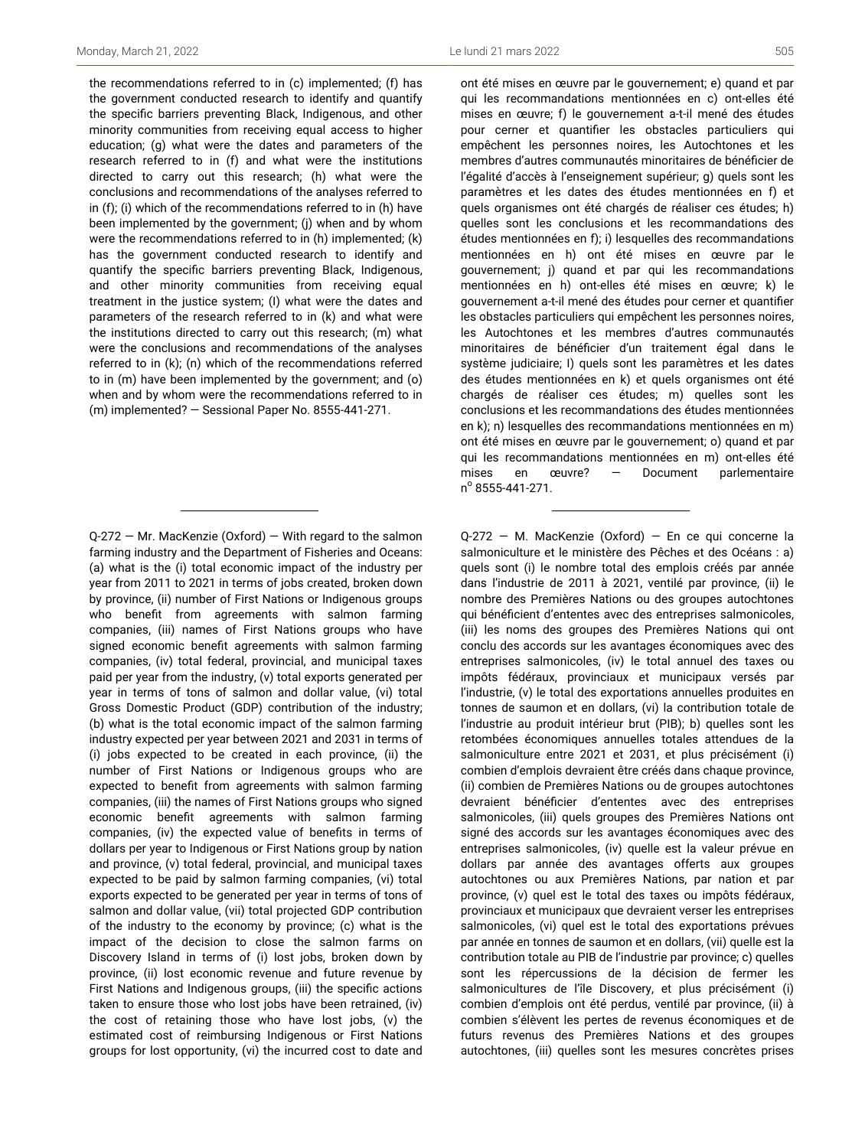the recommendations referred to in (c) implemented; (f) has the government conducted research to identify and quantify the specific barriers preventing Black, Indigenous, and other minority communities from receiving equal access to higher education; (g) what were the dates and parameters of the research referred to in (f) and what were the institutions directed to carry out this research; (h) what were the conclusions and recommendations of the analyses referred to in (f); (i) which of the recommendations referred to in (h) have been implemented by the government; (j) when and by whom were the recommendations referred to in (h) implemented; (k) has the government conducted research to identify and quantify the specific barriers preventing Black, Indigenous, and other minority communities from receiving equal treatment in the justice system; (I) what were the dates and parameters of the research referred to in (k) and what were the institutions directed to carry out this research; (m) what were the conclusions and recommendations of the analyses referred to in (k); (n) which of the recommendations referred to in (m) have been implemented by the government; and (o) when and by whom were the recommendations referred to in (m) implemented? — Sessional Paper No. 8555-441-271.

Q-272 — Mr. MacKenzie (Oxford) — With regard to the salmon farming industry and the Department of Fisheries and Oceans: (a) what is the (i) total economic impact of the industry per year from 2011 to 2021 in terms of jobs created, broken down by province, (ii) number of First Nations or Indigenous groups who benefit from agreements with salmon farming companies, (iii) names of First Nations groups who have signed economic benefit agreements with salmon farming companies, (iv) total federal, provincial, and municipal taxes paid per year from the industry, (v) total exports generated per year in terms of tons of salmon and dollar value, (vi) total Gross Domestic Product (GDP) contribution of the industry; (b) what is the total economic impact of the salmon farming industry expected per year between 2021 and 2031 in terms of (i) jobs expected to be created in each province, (ii) the number of First Nations or Indigenous groups who are expected to benefit from agreements with salmon farming companies, (iii) the names of First Nations groups who signed economic benefit agreements with salmon farming companies, (iv) the expected value of benefits in terms of dollars per year to Indigenous or First Nations group by nation and province, (v) total federal, provincial, and municipal taxes expected to be paid by salmon farming companies, (vi) total exports expected to be generated per year in terms of tons of salmon and dollar value, (vii) total projected GDP contribution of the industry to the economy by province; (c) what is the impact of the decision to close the salmon farms on Discovery Island in terms of (i) lost jobs, broken down by province, (ii) lost economic revenue and future revenue by First Nations and Indigenous groups, (iii) the specific actions taken to ensure those who lost jobs have been retrained, (iv) the cost of retaining those who have lost jobs, (v) the estimated cost of reimbursing Indigenous or First Nations groups for lost opportunity, (vi) the incurred cost to date and

ont été mises en œuvre par le gouvernement; e) quand et par qui les recommandations mentionnées en c) ont-elles été mises en œuvre; f) le gouvernement a-t-il mené des études pour cerner et quantifier les obstacles particuliers qui empêchent les personnes noires, les Autochtones et les membres d'autres communautés minoritaires de bénéficier de l'égalité d'accès à l'enseignement supérieur; g) quels sont les paramètres et les dates des études mentionnées en f) et quels organismes ont été chargés de réaliser ces études; h) quelles sont les conclusions et les recommandations des études mentionnées en f); i) lesquelles des recommandations mentionnées en h) ont été mises en œuvre par le gouvernement; j) quand et par qui les recommandations mentionnées en h) ont-elles été mises en œuvre; k) le gouvernement a-t-il mené des études pour cerner et quantifier les obstacles particuliers qui empêchent les personnes noires, les Autochtones et les membres d'autres communautés minoritaires de bénéficier d'un traitement égal dans le système judiciaire; I) quels sont les paramètres et les dates des études mentionnées en k) et quels organismes ont été chargés de réaliser ces études; m) quelles sont les conclusions et les recommandations des études mentionnées en k); n) lesquelles des recommandations mentionnées en m) ont été mises en œuvre par le gouvernement; o) quand et par qui les recommandations mentionnées en m) ont-elles été mises en œuvre? — Document parlementaire n<sup>o</sup> 8555-441-271.

Q-272 — M. MacKenzie (Oxford) — En ce qui concerne la salmoniculture et le ministère des Pêches et des Océans : a) quels sont (i) le nombre total des emplois créés par année dans l'industrie de 2011 à 2021, ventilé par province, (ii) le nombre des Premières Nations ou des groupes autochtones qui bénéficient d'ententes avec des entreprises salmonicoles, (iii) les noms des groupes des Premières Nations qui ont conclu des accords sur les avantages économiques avec des entreprises salmonicoles, (iv) le total annuel des taxes ou impôts fédéraux, provinciaux et municipaux versés par l'industrie, (v) le total des exportations annuelles produites en tonnes de saumon et en dollars, (vi) la contribution totale de l'industrie au produit intérieur brut (PIB); b) quelles sont les retombées économiques annuelles totales attendues de la salmoniculture entre 2021 et 2031, et plus précisément (i) combien d'emplois devraient être créés dans chaque province, (ii) combien de Premières Nations ou de groupes autochtones devraient bénéficier d'ententes avec des entreprises salmonicoles, (iii) quels groupes des Premières Nations ont signé des accords sur les avantages économiques avec des entreprises salmonicoles, (iv) quelle est la valeur prévue en dollars par année des avantages offerts aux groupes autochtones ou aux Premières Nations, par nation et par province, (v) quel est le total des taxes ou impôts fédéraux, provinciaux et municipaux que devraient verser les entreprises salmonicoles, (vi) quel est le total des exportations prévues par année en tonnes de saumon et en dollars, (vii) quelle est la contribution totale au PIB de l'industrie par province; c) quelles sont les répercussions de la décision de fermer les salmonicultures de l'île Discovery, et plus précisément (i) combien d'emplois ont été perdus, ventilé par province, (ii) à combien s'élèvent les pertes de revenus économiques et de futurs revenus des Premières Nations et des groupes autochtones, (iii) quelles sont les mesures concrètes prises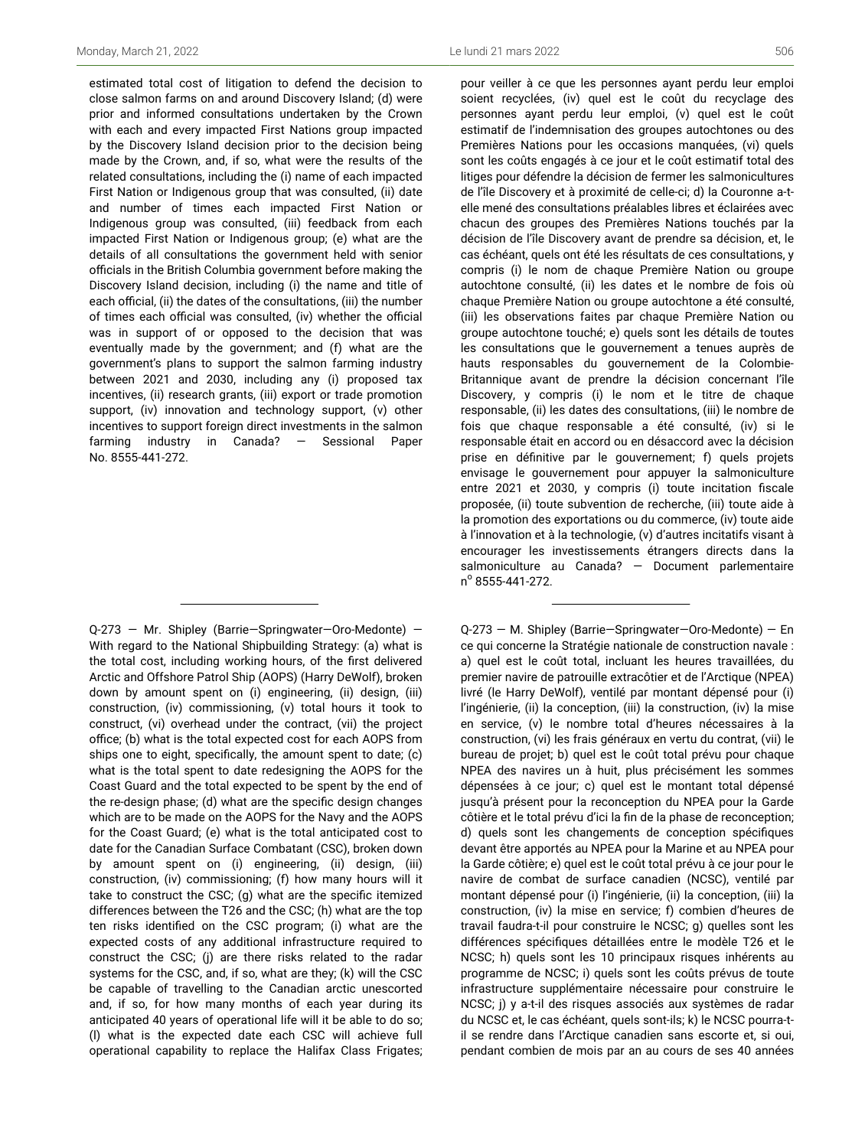estimated total cost of litigation to defend the decision to close salmon farms on and around Discovery Island; (d) were prior and informed consultations undertaken by the Crown with each and every impacted First Nations group impacted by the Discovery Island decision prior to the decision being made by the Crown, and, if so, what were the results of the related consultations, including the (i) name of each impacted First Nation or Indigenous group that was consulted, (ii) date and number of times each impacted First Nation or Indigenous group was consulted, (iii) feedback from each impacted First Nation or Indigenous group; (e) what are the details of all consultations the government held with senior officials in the British Columbia government before making the Discovery Island decision, including (i) the name and title of each official, (ii) the dates of the consultations, (iii) the number of times each official was consulted, (iv) whether the official was in support of or opposed to the decision that was eventually made by the government; and (f) what are the government's plans to support the salmon farming industry between 2021 and 2030, including any (i) proposed tax incentives, (ii) research grants, (iii) export or trade promotion support, (iv) innovation and technology support, (v) other incentives to support foreign direct investments in the salmon farming industry in Canada? — Sessional Paper No. 8555-441-272.

Q-273 — Mr. Shipley (Barrie—Springwater—Oro-Medonte) — With regard to the National Shipbuilding Strategy: (a) what is the total cost, including working hours, of the first delivered Arctic and Offshore Patrol Ship (AOPS) (Harry DeWolf), broken down by amount spent on (i) engineering, (ii) design, (iii) construction, (iv) commissioning, (v) total hours it took to construct, (vi) overhead under the contract, (vii) the project office; (b) what is the total expected cost for each AOPS from ships one to eight, specifically, the amount spent to date; (c) what is the total spent to date redesigning the AOPS for the Coast Guard and the total expected to be spent by the end of the re-design phase; (d) what are the specific design changes which are to be made on the AOPS for the Navy and the AOPS for the Coast Guard; (e) what is the total anticipated cost to date for the Canadian Surface Combatant (CSC), broken down by amount spent on (i) engineering, (ii) design, (iii) construction, (iv) commissioning; (f) how many hours will it take to construct the CSC; (g) what are the specific itemized differences between the T26 and the CSC; (h) what are the top ten risks identified on the CSC program; (i) what are the expected costs of any additional infrastructure required to construct the CSC; (j) are there risks related to the radar systems for the CSC, and, if so, what are they; (k) will the CSC be capable of travelling to the Canadian arctic unescorted and, if so, for how many months of each year during its anticipated 40 years of operational life will it be able to do so; (l) what is the expected date each CSC will achieve full operational capability to replace the Halifax Class Frigates;

pour veiller à ce que les personnes ayant perdu leur emploi soient recyclées, (iv) quel est le coût du recyclage des personnes ayant perdu leur emploi, (v) quel est le coût estimatif de l'indemnisation des groupes autochtones ou des Premières Nations pour les occasions manquées, (vi) quels sont les coûts engagés à ce jour et le coût estimatif total des litiges pour défendre la décision de fermer les salmonicultures de l'île Discovery et à proximité de celle-ci; d) la Couronne a-telle mené des consultations préalables libres et éclairées avec chacun des groupes des Premières Nations touchés par la décision de l'île Discovery avant de prendre sa décision, et, le cas échéant, quels ont été les résultats de ces consultations, y compris (i) le nom de chaque Première Nation ou groupe autochtone consulté, (ii) les dates et le nombre de fois où chaque Première Nation ou groupe autochtone a été consulté, (iii) les observations faites par chaque Première Nation ou groupe autochtone touché; e) quels sont les détails de toutes les consultations que le gouvernement a tenues auprès de hauts responsables du gouvernement de la Colombie-Britannique avant de prendre la décision concernant l'île Discovery, y compris (i) le nom et le titre de chaque responsable, (ii) les dates des consultations, (iii) le nombre de fois que chaque responsable a été consulté, (iv) si le responsable était en accord ou en désaccord avec la décision prise en définitive par le gouvernement; f) quels projets envisage le gouvernement pour appuyer la salmoniculture entre 2021 et 2030, y compris (i) toute incitation fiscale proposée, (ii) toute subvention de recherche, (iii) toute aide à la promotion des exportations ou du commerce, (iv) toute aide à l'innovation et à la technologie, (v) d'autres incitatifs visant à encourager les investissements étrangers directs dans la salmoniculture au Canada? — Document parlementaire n<sup>o</sup> 8555-441-272.

Q-273 — M. Shipley (Barrie—Springwater—Oro-Medonte) — En ce qui concerne la Stratégie nationale de construction navale : a) quel est le coût total, incluant les heures travaillées, du premier navire de patrouille extracôtier et de l'Arctique (NPEA) livré (le Harry DeWolf), ventilé par montant dépensé pour (i) l'ingénierie, (ii) la conception, (iii) la construction, (iv) la mise en service, (v) le nombre total d'heures nécessaires à la construction, (vi) les frais généraux en vertu du contrat, (vii) le bureau de projet; b) quel est le coût total prévu pour chaque NPEA des navires un à huit, plus précisément les sommes dépensées à ce jour; c) quel est le montant total dépensé jusqu'à présent pour la reconception du NPEA pour la Garde côtière et le total prévu d'ici la fin de la phase de reconception; d) quels sont les changements de conception spécifiques devant être apportés au NPEA pour la Marine et au NPEA pour la Garde côtière; e) quel est le coût total prévu à ce jour pour le navire de combat de surface canadien (NCSC), ventilé par montant dépensé pour (i) l'ingénierie, (ii) la conception, (iii) la construction, (iv) la mise en service; f) combien d'heures de travail faudra-t-il pour construire le NCSC; g) quelles sont les différences spécifiques détaillées entre le modèle T26 et le NCSC; h) quels sont les 10 principaux risques inhérents au programme de NCSC; i) quels sont les coûts prévus de toute infrastructure supplémentaire nécessaire pour construire le NCSC; j) y a-t-il des risques associés aux systèmes de radar du NCSC et, le cas échéant, quels sont-ils; k) le NCSC pourra-til se rendre dans l'Arctique canadien sans escorte et, si oui, pendant combien de mois par an au cours de ses 40 années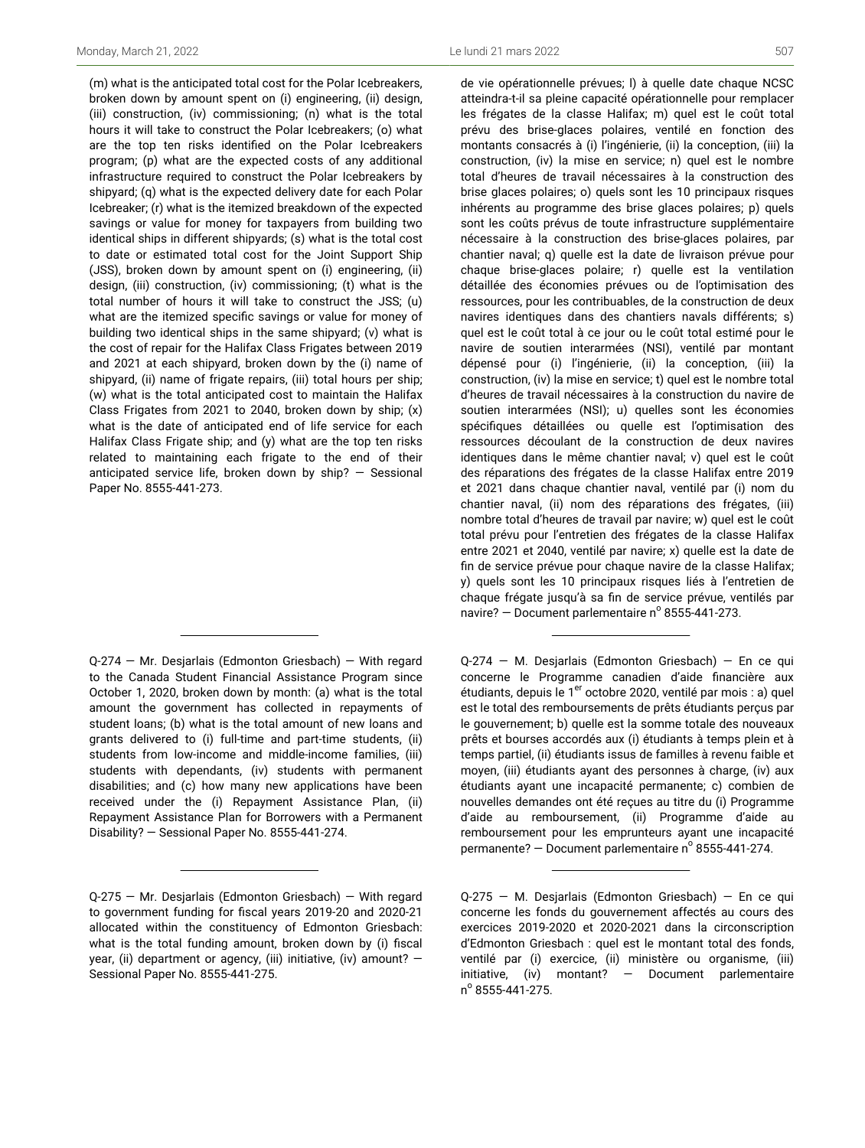(m) what is the anticipated total cost for the Polar Icebreakers, broken down by amount spent on (i) engineering, (ii) design, (iii) construction, (iv) commissioning; (n) what is the total hours it will take to construct the Polar Icebreakers; (o) what are the top ten risks identified on the Polar Icebreakers program; (p) what are the expected costs of any additional infrastructure required to construct the Polar Icebreakers by shipyard; (q) what is the expected delivery date for each Polar Icebreaker; (r) what is the itemized breakdown of the expected savings or value for money for taxpayers from building two identical ships in different shipyards; (s) what is the total cost to date or estimated total cost for the Joint Support Ship (JSS), broken down by amount spent on (i) engineering, (ii) design, (iii) construction, (iv) commissioning; (t) what is the total number of hours it will take to construct the JSS; (u) what are the itemized specific savings or value for money of building two identical ships in the same shipyard; (v) what is the cost of repair for the Halifax Class Frigates between 2019 and 2021 at each shipyard, broken down by the (i) name of shipyard, (ii) name of frigate repairs, (iii) total hours per ship; (w) what is the total anticipated cost to maintain the Halifax Class Frigates from 2021 to 2040, broken down by ship; (x) what is the date of anticipated end of life service for each Halifax Class Frigate ship; and (y) what are the top ten risks related to maintaining each frigate to the end of their anticipated service life, broken down by ship?  $-$  Sessional Paper No. 8555-441-273.

Q-274 — Mr. Desjarlais (Edmonton Griesbach) — With regard to the Canada Student Financial Assistance Program since October 1, 2020, broken down by month: (a) what is the total amount the government has collected in repayments of student loans; (b) what is the total amount of new loans and grants delivered to (i) full-time and part-time students, (ii) students from low-income and middle-income families, (iii) students with dependants, (iv) students with permanent disabilities; and (c) how many new applications have been received under the (i) Repayment Assistance Plan, (ii) Repayment Assistance Plan for Borrowers with a Permanent Disability? — Sessional Paper No. 8555-441-274.

de vie opérationnelle prévues; l) à quelle date chaque NCSC atteindra-t-il sa pleine capacité opérationnelle pour remplacer les frégates de la classe Halifax; m) quel est le coût total prévu des brise-glaces polaires, ventilé en fonction des montants consacrés à (i) l'ingénierie, (ii) la conception, (iii) la construction, (iv) la mise en service; n) quel est le nombre total d'heures de travail nécessaires à la construction des brise glaces polaires; o) quels sont les 10 principaux risques inhérents au programme des brise glaces polaires; p) quels sont les coûts prévus de toute infrastructure supplémentaire nécessaire à la construction des brise-glaces polaires, par chantier naval; q) quelle est la date de livraison prévue pour chaque brise-glaces polaire; r) quelle est la ventilation détaillée des économies prévues ou de l'optimisation des ressources, pour les contribuables, de la construction de deux navires identiques dans des chantiers navals différents; s) quel est le coût total à ce jour ou le coût total estimé pour le navire de soutien interarmées (NSI), ventilé par montant dépensé pour (i) l'ingénierie, (ii) la conception, (iii) la construction, (iv) la mise en service; t) quel est le nombre total d'heures de travail nécessaires à la construction du navire de soutien interarmées (NSI); u) quelles sont les économies spécifiques détaillées ou quelle est l'optimisation des ressources découlant de la construction de deux navires identiques dans le même chantier naval; v) quel est le coût des réparations des frégates de la classe Halifax entre 2019 et 2021 dans chaque chantier naval, ventilé par (i) nom du chantier naval, (ii) nom des réparations des frégates, (iii) nombre total d'heures de travail par navire; w) quel est le coût total prévu pour l'entretien des frégates de la classe Halifax entre 2021 et 2040, ventilé par navire; x) quelle est la date de fin de service prévue pour chaque navire de la classe Halifax; y) quels sont les 10 principaux risques liés à l'entretien de chaque frégate jusqu'à sa fin de service prévue, ventilés par navire?  $-$  Document parlementaire n $^{\circ}$  8555-441-273.

Q-274 — M. Desjarlais (Edmonton Griesbach) — En ce qui concerne le Programme canadien d'aide financière aux étudiants, depuis le 1<sup>er</sup> octobre 2020, ventilé par mois : a) quel est le total des remboursements de prêts étudiants perçus par le gouvernement; b) quelle est la somme totale des nouveaux prêts et bourses accordés aux (i) étudiants à temps plein et à temps partiel, (ii) étudiants issus de familles à revenu faible et moyen, (iii) étudiants ayant des personnes à charge, (iv) aux étudiants ayant une incapacité permanente; c) combien de nouvelles demandes ont été reçues au titre du (i) Programme d'aide au remboursement, (ii) Programme d'aide au remboursement pour les emprunteurs ayant une incapacité permanente? – Document parlementaire nº 8555-441-274.

Q-275 — Mr. Desjarlais (Edmonton Griesbach) — With regard to government funding for fiscal years 2019-20 and 2020-21 allocated within the constituency of Edmonton Griesbach: what is the total funding amount, broken down by (i) fiscal year, (ii) department or agency, (iii) initiative, (iv) amount? — Sessional Paper No. 8555-441-275.

Q-275 — M. Desjarlais (Edmonton Griesbach) — En ce qui concerne les fonds du gouvernement affectés au cours des exercices 2019-2020 et 2020-2021 dans la circonscription d'Edmonton Griesbach : quel est le montant total des fonds, ventilé par (i) exercice, (ii) ministère ou organisme, (iii) initiative, (iv) montant? — Document parlementaire n o 8555-441-275.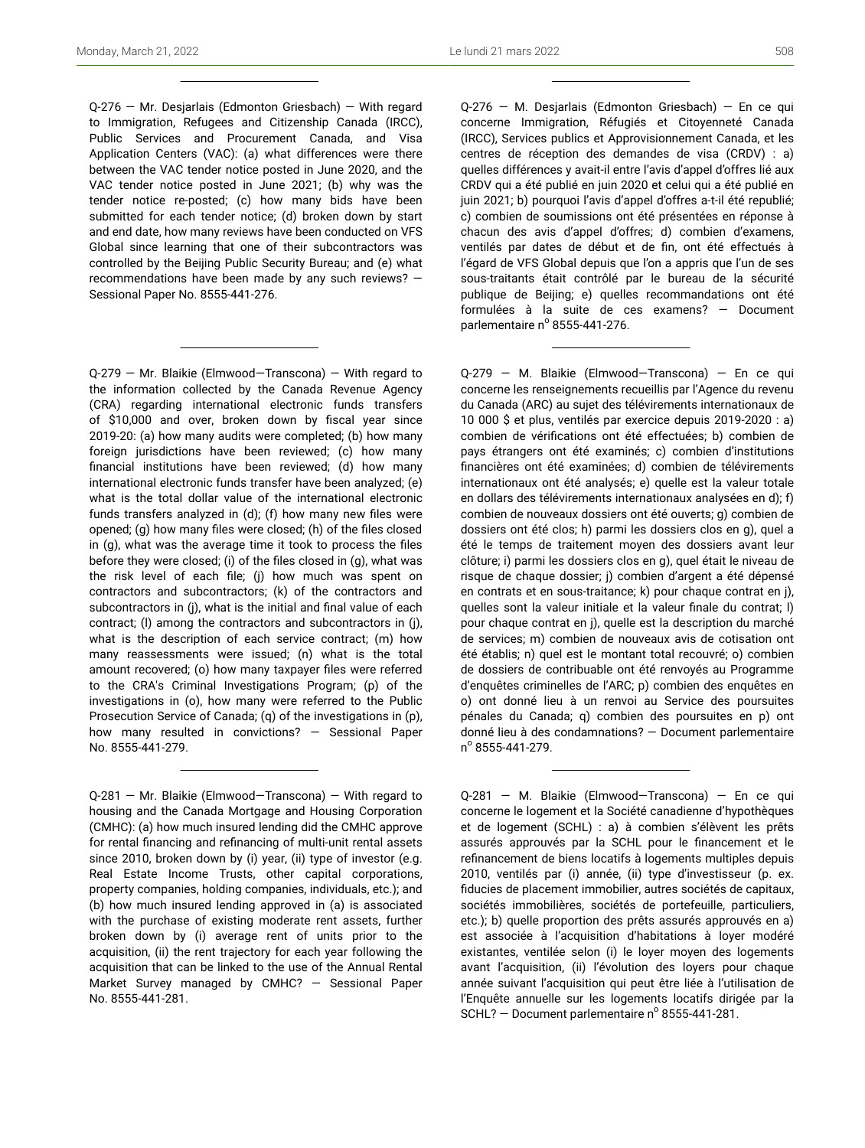Q-276 — Mr. Desjarlais (Edmonton Griesbach) — With regard to Immigration, Refugees and Citizenship Canada (IRCC), Public Services and Procurement Canada, and Visa Application Centers (VAC): (a) what differences were there between the VAC tender notice posted in June 2020, and the VAC tender notice posted in June 2021; (b) why was the tender notice re-posted; (c) how many bids have been submitted for each tender notice; (d) broken down by start and end date, how many reviews have been conducted on VFS Global since learning that one of their subcontractors was controlled by the Beijing Public Security Bureau; and (e) what recommendations have been made by any such reviews? — Sessional Paper No. 8555-441-276.

Q-279 — Mr. Blaikie (Elmwood—Transcona) — With regard to the information collected by the Canada Revenue Agency (CRA) regarding international electronic funds transfers of \$10,000 and over, broken down by fiscal year since 2019-20: (a) how many audits were completed; (b) how many foreign jurisdictions have been reviewed; (c) how many financial institutions have been reviewed; (d) how many international electronic funds transfer have been analyzed; (e) what is the total dollar value of the international electronic funds transfers analyzed in (d); (f) how many new files were opened; (g) how many files were closed; (h) of the files closed in (g), what was the average time it took to process the files before they were closed; (i) of the files closed in (g), what was the risk level of each file; (j) how much was spent on contractors and subcontractors; (k) of the contractors and subcontractors in (j), what is the initial and final value of each contract; (l) among the contractors and subcontractors in (j), what is the description of each service contract; (m) how many reassessments were issued; (n) what is the total amount recovered; (o) how many taxpayer files were referred to the CRA's Criminal Investigations Program; (p) of the investigations in (o), how many were referred to the Public Prosecution Service of Canada; (q) of the investigations in (p), how many resulted in convictions? — Sessional Paper No. 8555-441-279.

Q-276 — M. Desjarlais (Edmonton Griesbach) — En ce qui concerne Immigration, Réfugiés et Citoyenneté Canada (IRCC), Services publics et Approvisionnement Canada, et les centres de réception des demandes de visa (CRDV) : a) quelles différences y avait-il entre l'avis d'appel d'offres lié aux CRDV qui a été publié en juin 2020 et celui qui a été publié en juin 2021; b) pourquoi l'avis d'appel d'offres a-t-il été republié; c) combien de soumissions ont été présentées en réponse à chacun des avis d'appel d'offres; d) combien d'examens, ventilés par dates de début et de fin, ont été effectués à l'égard de VFS Global depuis que l'on a appris que l'un de ses sous-traitants était contrôlé par le bureau de la sécurité publique de Beijing; e) quelles recommandations ont été formulées à la suite de ces examens? — Document parlementaire nº 8555-441-276.

Q-279 — M. Blaikie (Elmwood—Transcona) — En ce qui concerne les renseignements recueillis par l'Agence du revenu du Canada (ARC) au sujet des télévirements internationaux de 10 000 \$ et plus, ventilés par exercice depuis 2019-2020 : a) combien de vérifications ont été effectuées; b) combien de pays étrangers ont été examinés; c) combien d'institutions financières ont été examinées; d) combien de télévirements internationaux ont été analysés; e) quelle est la valeur totale en dollars des télévirements internationaux analysées en d); f) combien de nouveaux dossiers ont été ouverts; g) combien de dossiers ont été clos; h) parmi les dossiers clos en g), quel a été le temps de traitement moyen des dossiers avant leur clôture; i) parmi les dossiers clos en g), quel était le niveau de risque de chaque dossier; j) combien d'argent a été dépensé en contrats et en sous-traitance; k) pour chaque contrat en j), quelles sont la valeur initiale et la valeur finale du contrat; l) pour chaque contrat en j), quelle est la description du marché de services; m) combien de nouveaux avis de cotisation ont été établis; n) quel est le montant total recouvré; o) combien de dossiers de contribuable ont été renvoyés au Programme d'enquêtes criminelles de l'ARC; p) combien des enquêtes en o) ont donné lieu à un renvoi au Service des poursuites pénales du Canada; q) combien des poursuites en p) ont donné lieu à des condamnations? — Document parlementaire n<sup>o</sup> 8555-441-279.

Q-281 — M. Blaikie (Elmwood—Transcona) — En ce qui concerne le logement et la Société canadienne d'hypothèques et de logement (SCHL) : a) à combien s'élèvent les prêts assurés approuvés par la SCHL pour le financement et le refinancement de biens locatifs à logements multiples depuis 2010, ventilés par (i) année, (ii) type d'investisseur (p. ex. fiducies de placement immobilier, autres sociétés de capitaux, sociétés immobilières, sociétés de portefeuille, particuliers, etc.); b) quelle proportion des prêts assurés approuvés en a) est associée à l'acquisition d'habitations à loyer modéré existantes, ventilée selon (i) le loyer moyen des logements avant l'acquisition, (ii) l'évolution des loyers pour chaque année suivant l'acquisition qui peut être liée à l'utilisation de l'Enquête annuelle sur les logements locatifs dirigée par la  $SCHL$ ? – Document parlementaire nº 8555-441-281.

Q-281 — Mr. Blaikie (Elmwood—Transcona) — With regard to housing and the Canada Mortgage and Housing Corporation (CMHC): (a) how much insured lending did the CMHC approve for rental financing and refinancing of multi-unit rental assets since 2010, broken down by (i) year, (ii) type of investor (e.g. Real Estate Income Trusts, other capital corporations, property companies, holding companies, individuals, etc.); and (b) how much insured lending approved in (a) is associated with the purchase of existing moderate rent assets, further broken down by (i) average rent of units prior to the acquisition, (ii) the rent trajectory for each year following the acquisition that can be linked to the use of the Annual Rental Market Survey managed by CMHC? — Sessional Paper No. 8555-441-281.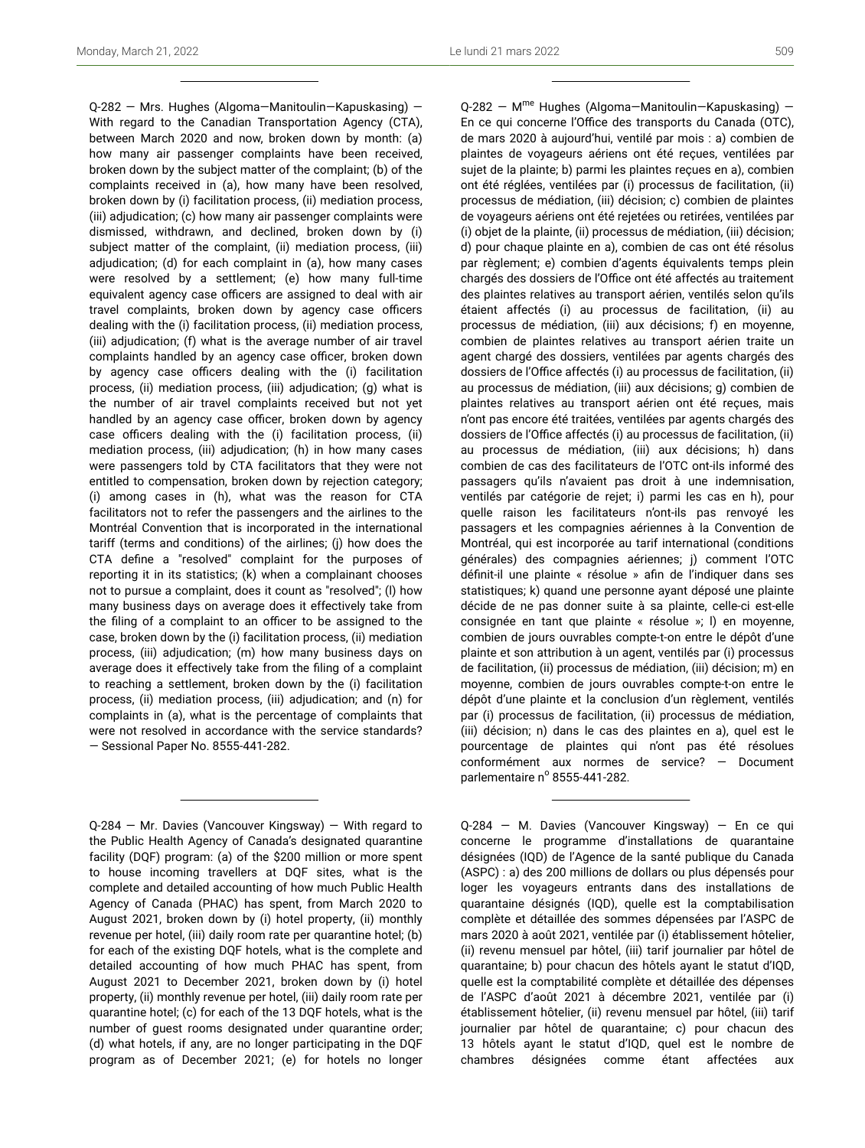Q-282 — Mrs. Hughes (Algoma—Manitoulin—Kapuskasing) — With regard to the Canadian Transportation Agency (CTA), between March 2020 and now, broken down by month: (a) how many air passenger complaints have been received, broken down by the subject matter of the complaint; (b) of the complaints received in (a), how many have been resolved, broken down by (i) facilitation process, (ii) mediation process, (iii) adjudication; (c) how many air passenger complaints were dismissed, withdrawn, and declined, broken down by (i) subject matter of the complaint, (ii) mediation process, (iii) adjudication; (d) for each complaint in (a), how many cases were resolved by a settlement; (e) how many full-time equivalent agency case officers are assigned to deal with air travel complaints, broken down by agency case officers dealing with the (i) facilitation process, (ii) mediation process, (iii) adjudication; (f) what is the average number of air travel complaints handled by an agency case officer, broken down by agency case officers dealing with the (i) facilitation process, (ii) mediation process, (iii) adjudication; (g) what is the number of air travel complaints received but not yet handled by an agency case officer, broken down by agency case officers dealing with the (i) facilitation process, (ii) mediation process, (iii) adjudication; (h) in how many cases were passengers told by CTA facilitators that they were not entitled to compensation, broken down by rejection category; (i) among cases in (h), what was the reason for CTA facilitators not to refer the passengers and the airlines to the Montréal Convention that is incorporated in the international tariff (terms and conditions) of the airlines; (j) how does the CTA define a "resolved" complaint for the purposes of reporting it in its statistics; (k) when a complainant chooses not to pursue a complaint, does it count as "resolved"; (l) how many business days on average does it effectively take from the filing of a complaint to an officer to be assigned to the case, broken down by the (i) facilitation process, (ii) mediation process, (iii) adjudication; (m) how many business days on average does it effectively take from the filing of a complaint to reaching a settlement, broken down by the (i) facilitation process, (ii) mediation process, (iii) adjudication; and (n) for complaints in (a), what is the percentage of complaints that were not resolved in accordance with the service standards? — Sessional Paper No. 8555-441-282.

Q-282 - M<sup>me</sup> Hughes (Algoma-Manitoulin-Kapuskasing) -En ce qui concerne l'Office des transports du Canada (OTC), de mars 2020 à aujourd'hui, ventilé par mois : a) combien de plaintes de voyageurs aériens ont été reçues, ventilées par sujet de la plainte; b) parmi les plaintes reçues en a), combien ont été réglées, ventilées par (i) processus de facilitation, (ii) processus de médiation, (iii) décision; c) combien de plaintes de voyageurs aériens ont été rejetées ou retirées, ventilées par (i) objet de la plainte, (ii) processus de médiation, (iii) décision; d) pour chaque plainte en a), combien de cas ont été résolus par règlement; e) combien d'agents équivalents temps plein chargés des dossiers de l'Office ont été affectés au traitement des plaintes relatives au transport aérien, ventilés selon qu'ils étaient affectés (i) au processus de facilitation, (ii) au processus de médiation, (iii) aux décisions; f) en moyenne, combien de plaintes relatives au transport aérien traite un agent chargé des dossiers, ventilées par agents chargés des dossiers de l'Office affectés (i) au processus de facilitation, (ii) au processus de médiation, (iii) aux décisions; g) combien de plaintes relatives au transport aérien ont été reçues, mais n'ont pas encore été traitées, ventilées par agents chargés des dossiers de l'Office affectés (i) au processus de facilitation, (ii) au processus de médiation, (iii) aux décisions; h) dans combien de cas des facilitateurs de l'OTC ont-ils informé des passagers qu'ils n'avaient pas droit à une indemnisation, ventilés par catégorie de rejet; i) parmi les cas en h), pour quelle raison les facilitateurs n'ont-ils pas renvoyé les passagers et les compagnies aériennes à la Convention de Montréal, qui est incorporée au tarif international (conditions générales) des compagnies aériennes; j) comment l'OTC définit-il une plainte « résolue » afin de l'indiquer dans ses statistiques; k) quand une personne ayant déposé une plainte décide de ne pas donner suite à sa plainte, celle-ci est-elle consignée en tant que plainte « résolue »; l) en moyenne, combien de jours ouvrables compte-t-on entre le dépôt d'une plainte et son attribution à un agent, ventilés par (i) processus de facilitation, (ii) processus de médiation, (iii) décision; m) en moyenne, combien de jours ouvrables compte-t-on entre le dépôt d'une plainte et la conclusion d'un règlement, ventilés par (i) processus de facilitation, (ii) processus de médiation, (iii) décision; n) dans le cas des plaintes en a), quel est le pourcentage de plaintes qui n'ont pas été résolues conformément aux normes de service? — Document parlementaire nº 8555-441-282.

Q-284 — M. Davies (Vancouver Kingsway) — En ce qui concerne le programme d'installations de quarantaine désignées (IQD) de l'Agence de la santé publique du Canada (ASPC) : a) des 200 millions de dollars ou plus dépensés pour loger les voyageurs entrants dans des installations de quarantaine désignés (IQD), quelle est la comptabilisation complète et détaillée des sommes dépensées par l'ASPC de mars 2020 à août 2021, ventilée par (i) établissement hôtelier, (ii) revenu mensuel par hôtel, (iii) tarif journalier par hôtel de quarantaine; b) pour chacun des hôtels ayant le statut d'IQD, quelle est la comptabilité complète et détaillée des dépenses de l'ASPC d'août 2021 à décembre 2021, ventilée par (i) établissement hôtelier, (ii) revenu mensuel par hôtel, (iii) tarif journalier par hôtel de quarantaine; c) pour chacun des 13 hôtels ayant le statut d'IQD, quel est le nombre de chambres désignées comme étant affectées aux

Q-284 — Mr. Davies (Vancouver Kingsway) — With regard to the Public Health Agency of Canada's designated quarantine facility (DQF) program: (a) of the \$200 million or more spent to house incoming travellers at DQF sites, what is the complete and detailed accounting of how much Public Health Agency of Canada (PHAC) has spent, from March 2020 to August 2021, broken down by (i) hotel property, (ii) monthly revenue per hotel, (iii) daily room rate per quarantine hotel; (b) for each of the existing DQF hotels, what is the complete and detailed accounting of how much PHAC has spent, from August 2021 to December 2021, broken down by (i) hotel property, (ii) monthly revenue per hotel, (iii) daily room rate per quarantine hotel; (c) for each of the 13 DQF hotels, what is the number of guest rooms designated under quarantine order; (d) what hotels, if any, are no longer participating in the DQF program as of December 2021; (e) for hotels no longer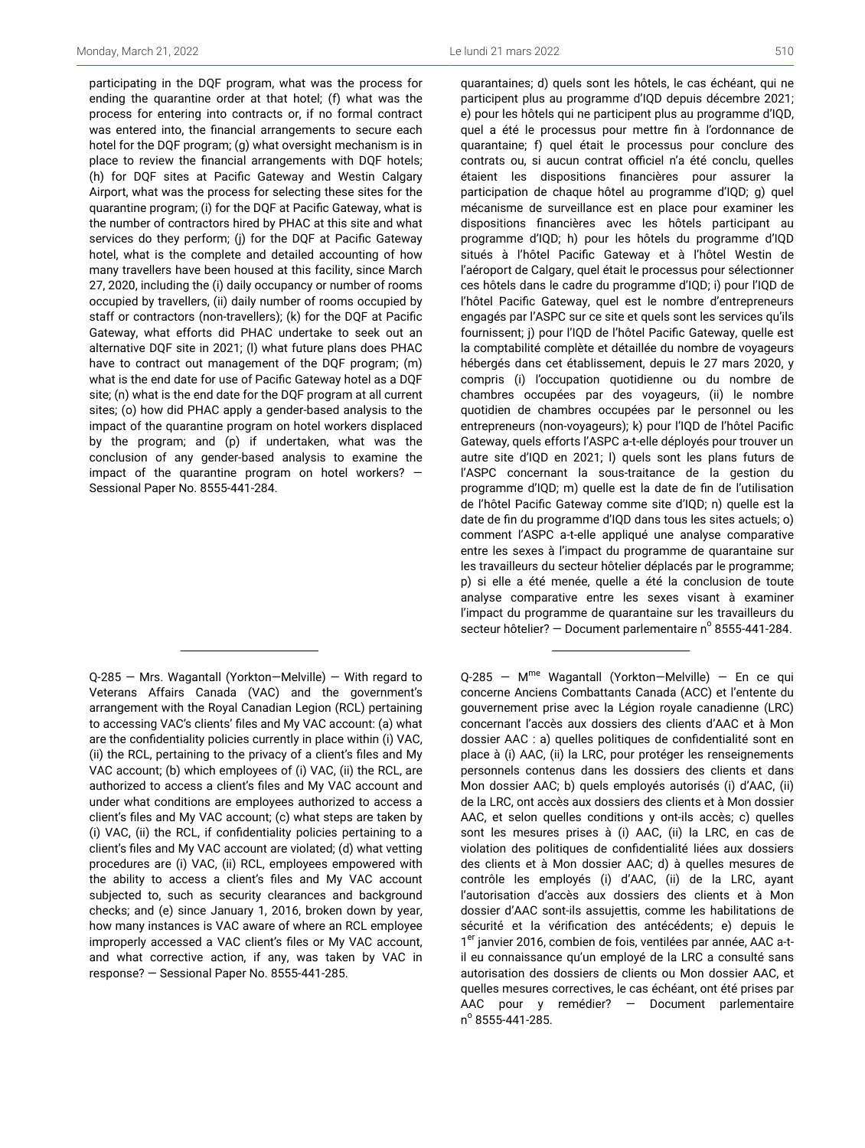participating in the DQF program, what was the process for ending the quarantine order at that hotel; (f) what was the process for entering into contracts or, if no formal contract was entered into, the financial arrangements to secure each hotel for the DQF program; (g) what oversight mechanism is in place to review the financial arrangements with DQF hotels; (h) for DQF sites at Pacific Gateway and Westin Calgary Airport, what was the process for selecting these sites for the quarantine program; (i) for the DQF at Pacific Gateway, what is the number of contractors hired by PHAC at this site and what services do they perform; (j) for the DQF at Pacific Gateway hotel, what is the complete and detailed accounting of how many travellers have been housed at this facility, since March 27, 2020, including the (i) daily occupancy or number of rooms occupied by travellers, (ii) daily number of rooms occupied by staff or contractors (non-travellers); (k) for the DQF at Pacific Gateway, what efforts did PHAC undertake to seek out an alternative DQF site in 2021; (l) what future plans does PHAC have to contract out management of the DQF program; (m) what is the end date for use of Pacific Gateway hotel as a DQF site; (n) what is the end date for the DQF program at all current sites; (o) how did PHAC apply a gender-based analysis to the impact of the quarantine program on hotel workers displaced by the program; and (p) if undertaken, what was the conclusion of any gender-based analysis to examine the impact of the quarantine program on hotel workers?  $-$ Sessional Paper No. 8555-441-284.

Q-285 — Mrs. Wagantall (Yorkton—Melville) — With regard to Veterans Affairs Canada (VAC) and the government's arrangement with the Royal Canadian Legion (RCL) pertaining to accessing VAC's clients' files and My VAC account: (a) what are the confidentiality policies currently in place within (i) VAC, (ii) the RCL, pertaining to the privacy of a client's files and My VAC account; (b) which employees of (i) VAC, (ii) the RCL, are authorized to access a client's files and My VAC account and under what conditions are employees authorized to access a client's files and My VAC account; (c) what steps are taken by (i) VAC, (ii) the RCL, if confidentiality policies pertaining to a client's files and My VAC account are violated; (d) what vetting procedures are (i) VAC, (ii) RCL, employees empowered with the ability to access a client's files and My VAC account subjected to, such as security clearances and background checks; and (e) since January 1, 2016, broken down by year, how many instances is VAC aware of where an RCL employee improperly accessed a VAC client's files or My VAC account, and what corrective action, if any, was taken by VAC in response? — Sessional Paper No. 8555-441-285.

quarantaines; d) quels sont les hôtels, le cas échéant, qui ne participent plus au programme d'IQD depuis décembre 2021; e) pour les hôtels qui ne participent plus au programme d'IQD, quel a été le processus pour mettre fin à l'ordonnance de quarantaine; f) quel était le processus pour conclure des contrats ou, si aucun contrat officiel n'a été conclu, quelles étaient les dispositions financières pour assurer la participation de chaque hôtel au programme d'IQD; g) quel mécanisme de surveillance est en place pour examiner les dispositions financières avec les hôtels participant au programme d'IQD; h) pour les hôtels du programme d'IQD situés à l'hôtel Pacific Gateway et à l'hôtel Westin de l'aéroport de Calgary, quel était le processus pour sélectionner ces hôtels dans le cadre du programme d'IQD; i) pour l'IQD de l'hôtel Pacific Gateway, quel est le nombre d'entrepreneurs engagés par l'ASPC sur ce site et quels sont les services qu'ils fournissent; j) pour l'IQD de l'hôtel Pacific Gateway, quelle est la comptabilité complète et détaillée du nombre de voyageurs hébergés dans cet établissement, depuis le 27 mars 2020, y compris (i) l'occupation quotidienne ou du nombre de chambres occupées par des voyageurs, (ii) le nombre quotidien de chambres occupées par le personnel ou les entrepreneurs (non-voyageurs); k) pour l'IQD de l'hôtel Pacific Gateway, quels efforts l'ASPC a-t-elle déployés pour trouver un autre site d'IQD en 2021; l) quels sont les plans futurs de l'ASPC concernant la sous-traitance de la gestion du programme d'IQD; m) quelle est la date de fin de l'utilisation de l'hôtel Pacific Gateway comme site d'IQD; n) quelle est la date de fin du programme d'IQD dans tous les sites actuels; o) comment l'ASPC a-t-elle appliqué une analyse comparative entre les sexes à l'impact du programme de quarantaine sur les travailleurs du secteur hôtelier déplacés par le programme; p) si elle a été menée, quelle a été la conclusion de toute analyse comparative entre les sexes visant à examiner l'impact du programme de quarantaine sur les travailleurs du secteur hôtelier? – Document parlementaire n° 8555-441-284.

Q-285 – M<sup>me</sup> Wagantall (Yorkton–Melville) – En ce qui concerne Anciens Combattants Canada (ACC) et l'entente du gouvernement prise avec la Légion royale canadienne (LRC) concernant l'accès aux dossiers des clients d'AAC et à Mon dossier AAC : a) quelles politiques de confidentialité sont en place à (i) AAC, (ii) la LRC, pour protéger les renseignements personnels contenus dans les dossiers des clients et dans Mon dossier AAC; b) quels employés autorisés (i) d'AAC, (ii) de la LRC, ont accès aux dossiers des clients et à Mon dossier AAC, et selon quelles conditions y ont-ils accès; c) quelles sont les mesures prises à (i) AAC, (ii) la LRC, en cas de violation des politiques de confidentialité liées aux dossiers des clients et à Mon dossier AAC; d) à quelles mesures de contrôle les employés (i) d'AAC, (ii) de la LRC, ayant l'autorisation d'accès aux dossiers des clients et à Mon dossier d'AAC sont-ils assujettis, comme les habilitations de sécurité et la vérification des antécédents; e) depuis le 1<sup>er</sup> janvier 2016, combien de fois, ventilées par année, AAC a-til eu connaissance qu'un employé de la LRC a consulté sans autorisation des dossiers de clients ou Mon dossier AAC, et quelles mesures correctives, le cas échéant, ont été prises par AAC pour y remédier? — Document parlementaire n o 8555-441-285.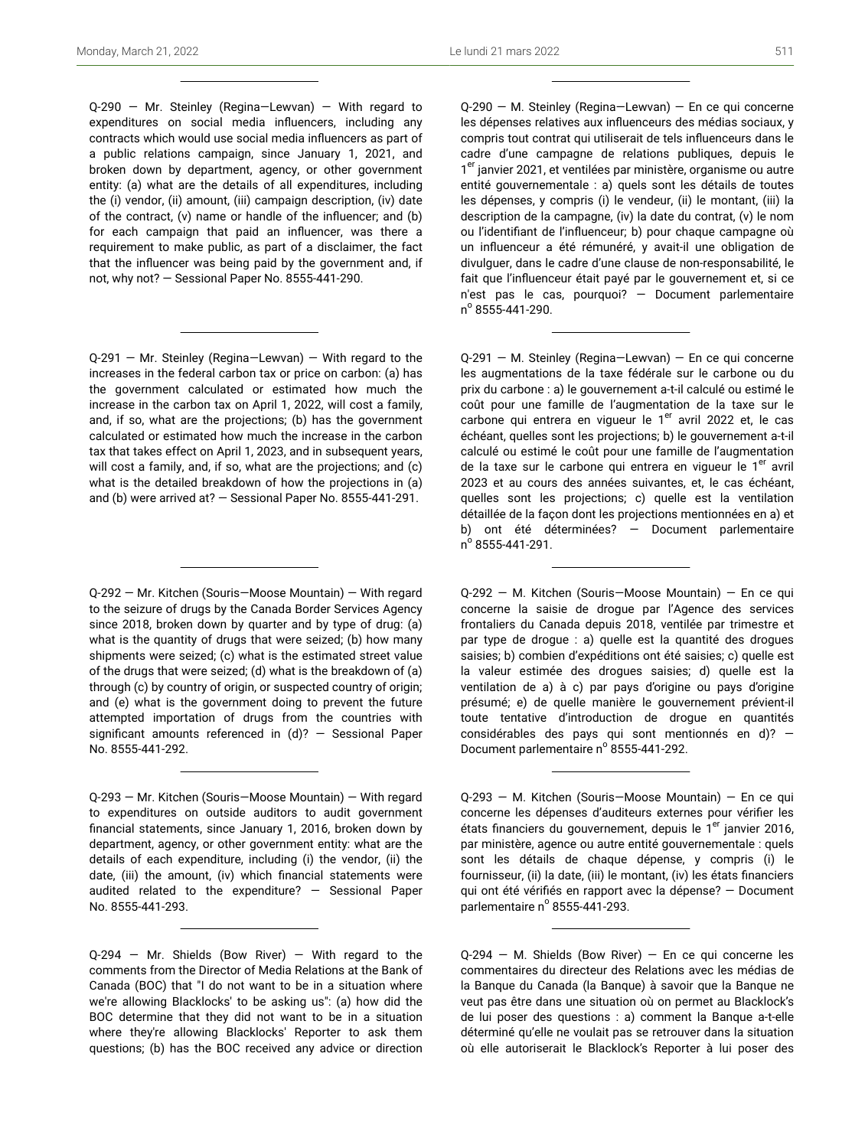Q-290 — Mr. Steinley (Regina—Lewvan) — With regard to expenditures on social media influencers, including any contracts which would use social media influencers as part of a public relations campaign, since January 1, 2021, and broken down by department, agency, or other government entity: (a) what are the details of all expenditures, including the (i) vendor, (ii) amount, (iii) campaign description, (iv) date of the contract, (v) name or handle of the influencer; and (b) for each campaign that paid an influencer, was there a requirement to make public, as part of a disclaimer, the fact that the influencer was being paid by the government and, if not, why not? — Sessional Paper No. 8555-441-290.

Q-291 — Mr. Steinley (Regina—Lewvan) — With regard to the increases in the federal carbon tax or price on carbon: (a) has the government calculated or estimated how much the increase in the carbon tax on April 1, 2022, will cost a family, and, if so, what are the projections; (b) has the government calculated or estimated how much the increase in the carbon tax that takes effect on April 1, 2023, and in subsequent years, will cost a family, and, if so, what are the projections; and (c) what is the detailed breakdown of how the projections in (a) and (b) were arrived at? — Sessional Paper No. 8555-441-291.

Q-292 — Mr. Kitchen (Souris—Moose Mountain) — With regard to the seizure of drugs by the Canada Border Services Agency since 2018, broken down by quarter and by type of drug: (a) what is the quantity of drugs that were seized; (b) how many shipments were seized; (c) what is the estimated street value of the drugs that were seized; (d) what is the breakdown of (a) through (c) by country of origin, or suspected country of origin; and (e) what is the government doing to prevent the future attempted importation of drugs from the countries with significant amounts referenced in  $(d)$ ? - Sessional Paper No. 8555-441-292.

Q-293 — Mr. Kitchen (Souris—Moose Mountain) — With regard to expenditures on outside auditors to audit government financial statements, since January 1, 2016, broken down by department, agency, or other government entity: what are the details of each expenditure, including (i) the vendor, (ii) the date, (iii) the amount, (iv) which financial statements were audited related to the expenditure? — Sessional Paper No. 8555-441-293.

 $Q-294$  – Mr. Shields (Bow River) – With regard to the comments from the Director of Media Relations at the Bank of Canada (BOC) that "I do not want to be in a situation where we're allowing Blacklocks' to be asking us": (a) how did the BOC determine that they did not want to be in a situation where they're allowing Blacklocks' Reporter to ask them questions; (b) has the BOC received any advice or direction

Q-290 — M. Steinley (Regina—Lewvan) — En ce qui concerne les dépenses relatives aux influenceurs des médias sociaux, y compris tout contrat qui utiliserait de tels influenceurs dans le cadre d'une campagne de relations publiques, depuis le 1<sup>er</sup> janvier 2021, et ventilées par ministère, organisme ou autre entité gouvernementale : a) quels sont les détails de toutes les dépenses, y compris (i) le vendeur, (ii) le montant, (iii) la description de la campagne, (iv) la date du contrat, (v) le nom ou l'identifiant de l'influenceur; b) pour chaque campagne où un influenceur a été rémunéré, y avait-il une obligation de divulguer, dans le cadre d'une clause de non-responsabilité, le fait que l'influenceur était payé par le gouvernement et, si ce n'est pas le cas, pourquoi? — Document parlementaire n o 8555-441-290.

Q-291 — M. Steinley (Regina—Lewvan) — En ce qui concerne les augmentations de la taxe fédérale sur le carbone ou du prix du carbone : a) le gouvernement a-t-il calculé ou estimé le coût pour une famille de l'augmentation de la taxe sur le carbone qui entrera en vigueur le  $1<sup>er</sup>$  avril 2022 et, le cas échéant, quelles sont les projections; b) le gouvernement a-t-il calculé ou estimé le coût pour une famille de l'augmentation de la taxe sur le carbone qui entrera en vigueur le 1<sup>er</sup> avril 2023 et au cours des années suivantes, et, le cas échéant, quelles sont les projections; c) quelle est la ventilation détaillée de la façon dont les projections mentionnées en a) et b) ont été déterminées? — Document parlementaire n<sup>º</sup> 8555-441-291.

Q-292 — M. Kitchen (Souris—Moose Mountain) — En ce qui concerne la saisie de drogue par l'Agence des services frontaliers du Canada depuis 2018, ventilée par trimestre et par type de drogue : a) quelle est la quantité des drogues saisies; b) combien d'expéditions ont été saisies; c) quelle est la valeur estimée des drogues saisies; d) quelle est la ventilation de a) à c) par pays d'origine ou pays d'origine présumé; e) de quelle manière le gouvernement prévient-il toute tentative d'introduction de drogue en quantités considérables des pays qui sont mentionnés en d)? — Document parlementaire nº 8555-441-292.

Q-293 — M. Kitchen (Souris—Moose Mountain) — En ce qui concerne les dépenses d'auditeurs externes pour vérifier les états financiers du gouvernement, depuis le 1<sup>er</sup> janvier 2016, par ministère, agence ou autre entité gouvernementale : quels sont les détails de chaque dépense, y compris (i) le fournisseur, (ii) la date, (iii) le montant, (iv) les états financiers qui ont été vérifiés en rapport avec la dépense? — Document parlementaire nº 8555-441-293.

 $Q-294 - M$ . Shields (Bow River) – En ce qui concerne les commentaires du directeur des Relations avec les médias de la Banque du Canada (la Banque) à savoir que la Banque ne veut pas être dans une situation où on permet au Blacklock's de lui poser des questions : a) comment la Banque a-t-elle déterminé qu'elle ne voulait pas se retrouver dans la situation où elle autoriserait le Blacklock's Reporter à lui poser des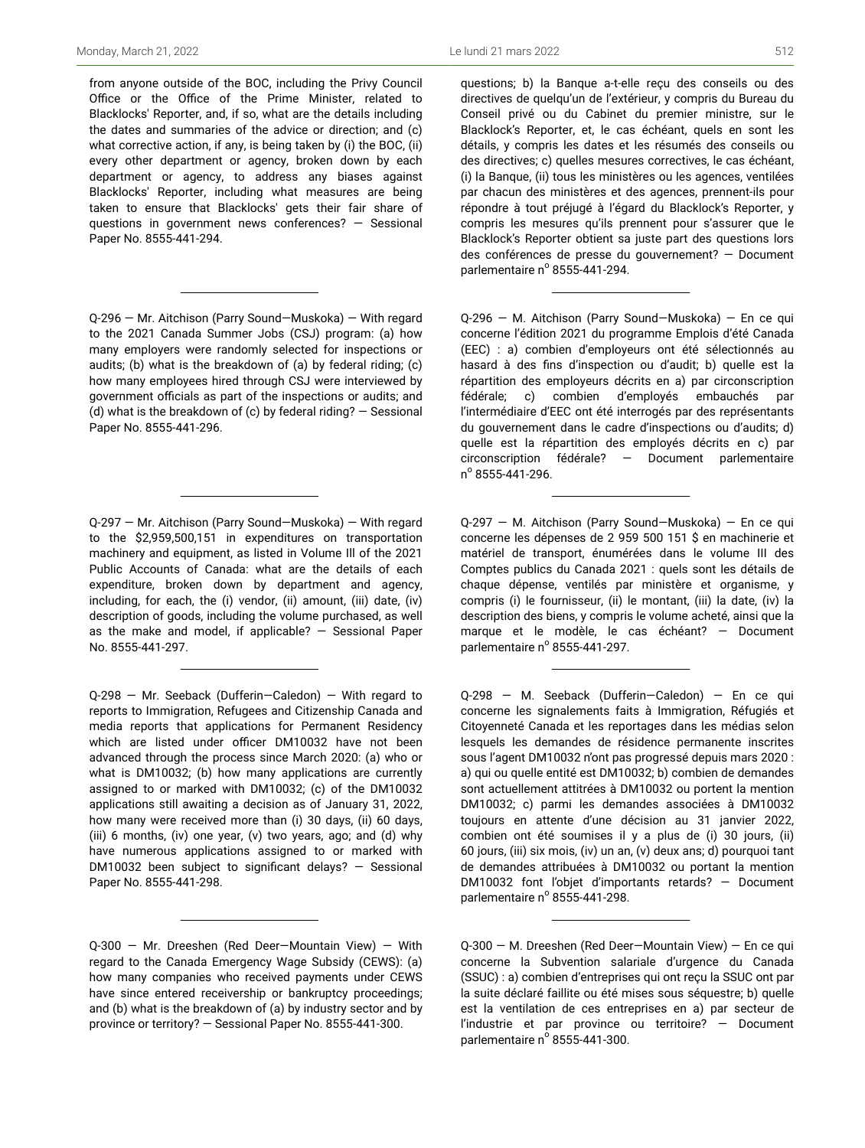from anyone outside of the BOC, including the Privy Council Office or the Office of the Prime Minister, related to Blacklocks' Reporter, and, if so, what are the details including the dates and summaries of the advice or direction; and (c) what corrective action, if any, is being taken by (i) the BOC, (ii) every other department or agency, broken down by each department or agency, to address any biases against Blacklocks' Reporter, including what measures are being taken to ensure that Blacklocks' gets their fair share of questions in government news conferences? — Sessional Paper No. 8555-441-294.

Q-296 — Mr. Aitchison (Parry Sound—Muskoka) — With regard to the 2021 Canada Summer Jobs (CSJ) program: (a) how many employers were randomly selected for inspections or audits; (b) what is the breakdown of (a) by federal riding; (c) how many employees hired through CSJ were interviewed by government officials as part of the inspections or audits; and (d) what is the breakdown of (c) by federal riding? — Sessional Paper No. 8555-441-296.

Q-297 — Mr. Aitchison (Parry Sound—Muskoka) — With regard to the \$2,959,500,151 in expenditures on transportation machinery and equipment, as listed in Volume Ill of the 2021 Public Accounts of Canada: what are the details of each expenditure, broken down by department and agency, including, for each, the (i) vendor, (ii) amount, (iii) date, (iv) description of goods, including the volume purchased, as well as the make and model, if applicable? — Sessional Paper No. 8555-441-297.

Q-298 — Mr. Seeback (Dufferin—Caledon) — With regard to reports to Immigration, Refugees and Citizenship Canada and media reports that applications for Permanent Residency which are listed under officer DM10032 have not been advanced through the process since March 2020: (a) who or what is DM10032; (b) how many applications are currently assigned to or marked with DM10032; (c) of the DM10032 applications still awaiting a decision as of January 31, 2022, how many were received more than (i) 30 days, (ii) 60 days, (iii) 6 months, (iv) one year, (v) two years, ago; and (d) why have numerous applications assigned to or marked with DM10032 been subject to significant delays? — Sessional Paper No. 8555-441-298.

Q-300 — Mr. Dreeshen (Red Deer—Mountain View) — With regard to the Canada Emergency Wage Subsidy (CEWS): (a) how many companies who received payments under CEWS have since entered receivership or bankruptcy proceedings; and (b) what is the breakdown of (a) by industry sector and by province or territory? — Sessional Paper No. 8555-441-300.

questions; b) la Banque a-t-elle reçu des conseils ou des directives de quelqu'un de l'extérieur, y compris du Bureau du Conseil privé ou du Cabinet du premier ministre, sur le Blacklock's Reporter, et, le cas échéant, quels en sont les détails, y compris les dates et les résumés des conseils ou des directives; c) quelles mesures correctives, le cas échéant, (i) la Banque, (ii) tous les ministères ou les agences, ventilées par chacun des ministères et des agences, prennent-ils pour répondre à tout préjugé à l'égard du Blacklock's Reporter, y compris les mesures qu'ils prennent pour s'assurer que le Blacklock's Reporter obtient sa juste part des questions lors des conférences de presse du gouvernement? — Document parlementaire nº 8555-441-294.

Q-296 — M. Aitchison (Parry Sound—Muskoka) — En ce qui concerne l'édition 2021 du programme Emplois d'été Canada (EEC) : a) combien d'employeurs ont été sélectionnés au hasard à des fins d'inspection ou d'audit; b) quelle est la répartition des employeurs décrits en a) par circonscription fédérale; c) combien d'employés embauchés par l'intermédiaire d'EEC ont été interrogés par des représentants du gouvernement dans le cadre d'inspections ou d'audits; d) quelle est la répartition des employés décrits en c) par circonscription fédérale? — Document parlementaire n o 8555-441-296.

Q-297 — M. Aitchison (Parry Sound—Muskoka) — En ce qui concerne les dépenses de 2 959 500 151 \$ en machinerie et matériel de transport, énumérées dans le volume III des Comptes publics du Canada 2021 : quels sont les détails de chaque dépense, ventilés par ministère et organisme, y compris (i) le fournisseur, (ii) le montant, (iii) la date, (iv) la description des biens, y compris le volume acheté, ainsi que la marque et le modèle, le cas échéant? — Document parlementaire nº 8555-441-297.

Q-298 — M. Seeback (Dufferin—Caledon) — En ce qui concerne les signalements faits à Immigration, Réfugiés et Citoyenneté Canada et les reportages dans les médias selon lesquels les demandes de résidence permanente inscrites sous l'agent DM10032 n'ont pas progressé depuis mars 2020 : a) qui ou quelle entité est DM10032; b) combien de demandes sont actuellement attitrées à DM10032 ou portent la mention DM10032; c) parmi les demandes associées à DM10032 toujours en attente d'une décision au 31 janvier 2022, combien ont été soumises il y a plus de (i) 30 jours, (ii) 60 jours, (iii) six mois, (iv) un an, (v) deux ans; d) pourquoi tant de demandes attribuées à DM10032 ou portant la mention DM10032 font l'objet d'importants retards? — Document parlementaire nº 8555-441-298.

Q-300 — M. Dreeshen (Red Deer—Mountain View) — En ce qui concerne la Subvention salariale d'urgence du Canada (SSUC) : a) combien d'entreprises qui ont reçu la SSUC ont par la suite déclaré faillite ou été mises sous séquestre; b) quelle est la ventilation de ces entreprises en a) par secteur de l'industrie et par province ou territoire? — Document parlementaire nº 8555-441-300.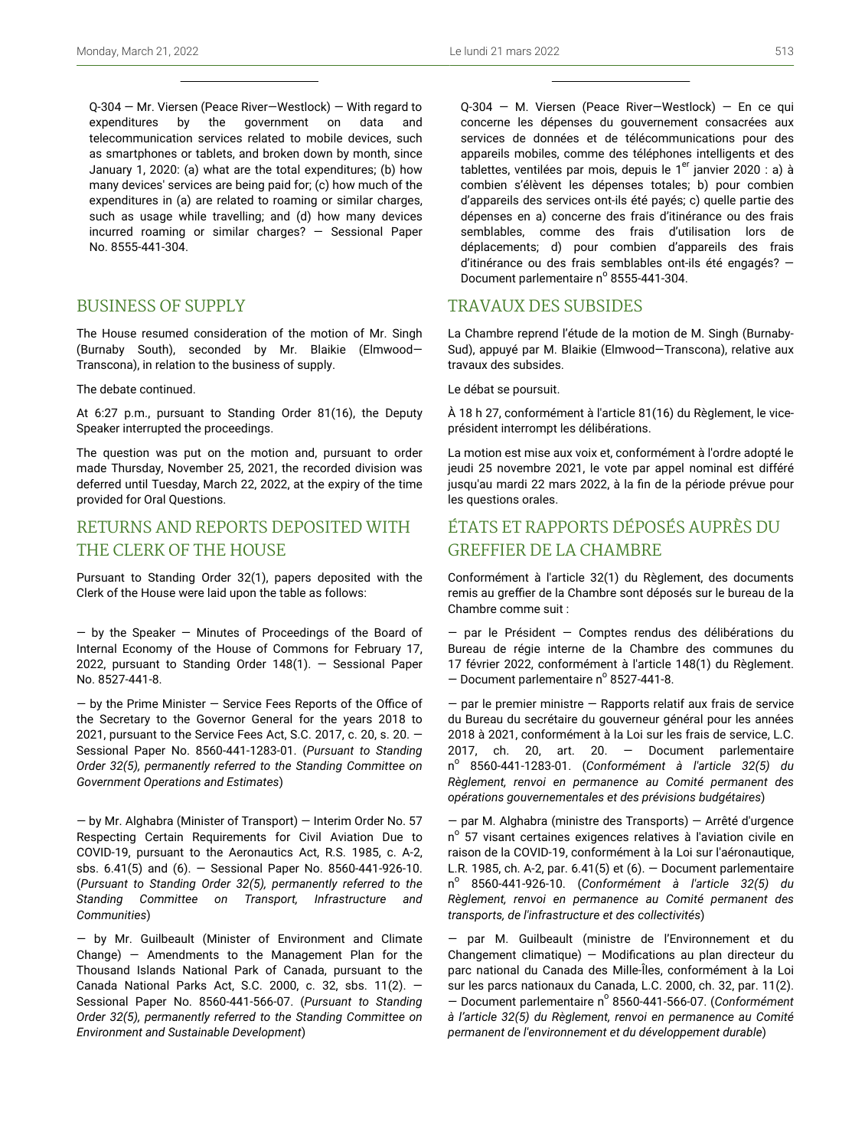Q-304 — Mr. Viersen (Peace River—Westlock) — With regard to expenditures by the government on data and telecommunication services related to mobile devices, such as smartphones or tablets, and broken down by month, since January 1, 2020: (a) what are the total expenditures; (b) how many devices' services are being paid for; (c) how much of the expenditures in (a) are related to roaming or similar charges, such as usage while travelling; and (d) how many devices incurred roaming or similar charges? — Sessional Paper No. 8555-441-304.

## BUSINESS OF SUPPLY

The House resumed consideration of the motion of Mr. Singh (Burnaby South), seconded by Mr. Blaikie (Elmwood— Transcona), in relation to the business of supply.

The debate continued.

At 6:27 p.m., pursuant to Standing Order 81(16), the Deputy Speaker interrupted the proceedings.

The question was put on the motion and, pursuant to order made Thursday, November 25, 2021, the recorded division was deferred until Tuesday, March 22, 2022, at the expiry of the time provided for Oral Questions.

# RETURNS AND REPORTS DEPOSITED WITH THE CLERK OF THE HOUSE

Pursuant to Standing Order 32(1), papers deposited with the Clerk of the House were laid upon the table as follows:

— by the Speaker — Minutes of Proceedings of the Board of Internal Economy of the House of Commons for February 17, 2022, pursuant to Standing Order 148(1). — Sessional Paper No. 8527-441-8.

 $-$  by the Prime Minister  $-$  Service Fees Reports of the Office of the Secretary to the Governor General for the years 2018 to 2021, pursuant to the Service Fees Act, S.C. 2017, c. 20, s. 20. — Sessional Paper No. 8560-441-1283-01. (*Pursuant to Standing Order 32(5), permanently referred to the Standing Committee on Government Operations and Estimates*)

— by Mr. Alghabra (Minister of Transport) — Interim Order No. 57 Respecting Certain Requirements for Civil Aviation Due to COVID-19, pursuant to the Aeronautics Act, R.S. 1985, c. A-2, sbs. 6.41(5) and (6). — Sessional Paper No. 8560-441-926-10. (*Pursuant to Standing Order 32(5), permanently referred to the Standing Committee on Transport, Infrastructure and Communities*)

— by Mr. Guilbeault (Minister of Environment and Climate Change) — Amendments to the Management Plan for the Thousand Islands National Park of Canada, pursuant to the Canada National Parks Act, S.C. 2000, c. 32, sbs. 11(2). — Sessional Paper No. 8560-441-566-07. (*Pursuant to Standing Order 32(5), permanently referred to the Standing Committee on Environment and Sustainable Development*)

Q-304 — M. Viersen (Peace River—Westlock) — En ce qui concerne les dépenses du gouvernement consacrées aux services de données et de télécommunications pour des appareils mobiles, comme des téléphones intelligents et des tablettes, ventilées par mois, depuis le  $1<sup>er</sup>$  janvier 2020 : a) à combien s'élèvent les dépenses totales; b) pour combien d'appareils des services ont-ils été payés; c) quelle partie des dépenses en a) concerne des frais d'itinérance ou des frais semblables, comme des frais d'utilisation lors de déplacements; d) pour combien d'appareils des frais d'itinérance ou des frais semblables ont-ils été engagés? — Document parlementaire nº 8555-441-304.

### TRAVAUX DES SUBSIDES

La Chambre reprend l'étude de la motion de M. Singh (Burnaby-Sud), appuyé par M. Blaikie (Elmwood—Transcona), relative aux travaux des subsides.

Le débat se poursuit.

À 18 h 27, conformément à l'article 81(16) du Règlement, le viceprésident interrompt les délibérations.

La motion est mise aux voix et, conformément à l'ordre adopté le jeudi 25 novembre 2021, le vote par appel nominal est différé jusqu'au mardi 22 mars 2022, à la fin de la période prévue pour les questions orales.

# ÉTATS ET RAPPORTS DÉPOSÉS AUPRÈS DU GREFFIER DE LA CHAMBRE

Conformément à l'article 32(1) du Règlement, des documents remis au greffier de la Chambre sont déposés sur le bureau de la Chambre comme suit :

— par le Président — Comptes rendus des délibérations du Bureau de régie interne de la Chambre des communes du 17 février 2022, conformément à l'article 148(1) du Règlement.  $-$  Document parlementaire n° 8527-441-8.

 $-$  par le premier ministre  $-$  Rapports relatif aux frais de service du Bureau du secrétaire du gouverneur général pour les années 2018 à 2021, conformément à la Loi sur les frais de service, L.C. 2017, ch. 20, art. 20. — Document parlementaire n o 8560-441-1283-01. (*Conformément à l'article 32(5) du Règlement, renvoi en permanence au Comité permanent des opérations gouvernementales et des prévisions budgétaires*)

— par M. Alghabra (ministre des Transports) — Arrêté d'urgence n<sup>o</sup> 57 visant certaines exigences relatives à l'aviation civile en raison de la COVID-19, conformément à la Loi sur l'aéronautique, L.R. 1985, ch. A-2, par. 6.41(5) et (6). — Document parlementaire n o 8560-441-926-10. (*Conformément à l'article 32(5) du Règlement, renvoi en permanence au Comité permanent des transports, de l'infrastructure et des collectivités*)

— par M. Guilbeault (ministre de l'Environnement et du Changement climatique) — Modifications au plan directeur du parc national du Canada des Mille-Îles, conformément à la Loi sur les parcs nationaux du Canada, L.C. 2000, ch. 32, par. 11(2). <sup>-</sup> Document parlementaire nº 8560-441-566-07. (Conformément *à l'article 32(5) du Règlement, renvoi en permanence au Comité permanent de l'environnement et du développement durable*)